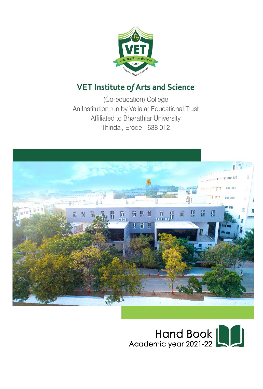

# **VET Institute of Arts and Science**

(Co-education) College An Institution run by Vellalar Educational Trust Affiliated to Bharathiar University Thindal, Erode - 638 012



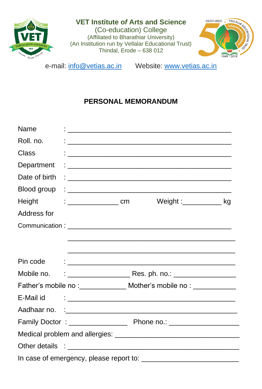

# **VET Institute o***f* **Arts and Science**

(Co-education) College (Affiliated to Bharathiar University) (An Institution run by Vellalar Educational Trust) Thindal, Erode – 638 012



e-mail: [info@vetias.ac.in](mailto:info@vetias.ac.in) Website: [www.vetias.ac.in](http://www.vetias.ac.in/)

# **PERSONAL MEMORANDUM**

| Name          |                  |                                                                                                                                                                                                                                      |  |
|---------------|------------------|--------------------------------------------------------------------------------------------------------------------------------------------------------------------------------------------------------------------------------------|--|
| Roll. no.     |                  | <u> 1980 - Jan Barbarat, martin da basar a shekara tsara a shekara tsa a shekara tsara a shekara tsara tsara tsa</u>                                                                                                                 |  |
| Class         |                  |                                                                                                                                                                                                                                      |  |
| Department    |                  | <u> 1988 - Johann Stoff, deutscher Stoffen und der Stoffen und der Stoffen und der Stoffen und der Stoffen und der Stoffen und der Stoffen und der Stoffen und der Stoffen und der Stoffen und der Stoffen und der Stoffen und d</u> |  |
| Date of birth |                  |                                                                                                                                                                                                                                      |  |
| Blood group   |                  |                                                                                                                                                                                                                                      |  |
| Height        | $\frac{1}{2}$ cm | Weight :____________ kg                                                                                                                                                                                                              |  |
| Address for   |                  |                                                                                                                                                                                                                                      |  |
|               |                  |                                                                                                                                                                                                                                      |  |
|               |                  |                                                                                                                                                                                                                                      |  |
|               |                  |                                                                                                                                                                                                                                      |  |
| Pin code      |                  |                                                                                                                                                                                                                                      |  |
| Mobile no.    |                  |                                                                                                                                                                                                                                      |  |
|               |                  | Father's mobile no : ________________ Mother's mobile no : _____________                                                                                                                                                             |  |
| E-Mail id     |                  |                                                                                                                                                                                                                                      |  |
|               |                  |                                                                                                                                                                                                                                      |  |
|               |                  |                                                                                                                                                                                                                                      |  |
|               |                  |                                                                                                                                                                                                                                      |  |
|               |                  |                                                                                                                                                                                                                                      |  |
|               |                  |                                                                                                                                                                                                                                      |  |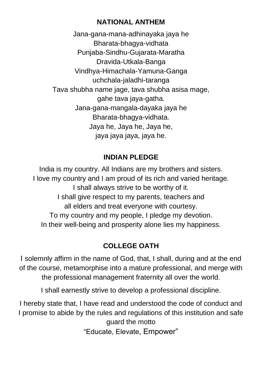# **NATIONAL ANTHEM**

Jana-gana-mana-adhinayaka jaya he Bharata-bhagya-vidhata Punjaba-Sindhu-Gujarata-Maratha Dravida-Utkala-Banga Vindhya-Himachala-Yamuna-Ganga uchchala-jaladhi-taranga Tava shubha name jage, tava shubha asisa mage, gahe taya jaya-gatha. Jana-gana-mangala-dayaka jaya he Bharata-bhagya-vidhata. Jaya he, Jaya he, Jaya he, jaya jaya jaya, jaya he.

# **INDIAN PLEDGE**

India is my country. All Indians are my brothers and sisters. I love my country and I am proud of its rich and varied heritage. I shall always strive to be worthy of it. I shall give respect to my parents, teachers and all elders and treat everyone with courtesy. To my country and my people, I pledge my devotion. In their well-being and prosperity alone lies my happiness.

# **COLLEGE OATH**

I solemnly affirm in the name of God, that, I shall, during and at the end of the course, metamorphise into a mature professional, and merge with the professional management fraternity all over the world.

I shall earnestly strive to develop a professional discipline.

I hereby state that, I have read and understood the code of conduct and I promise to abide by the rules and regulations of this institution and safe guard the motto

"Educate, Elevate, Empower"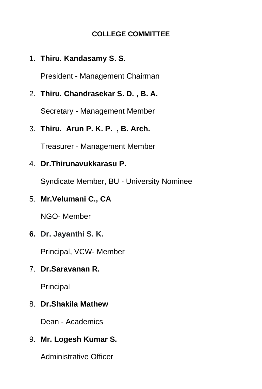# **COLLEGE COMMITTEE**

# 1. **Thiru. Kandasamy S. S.**

President - Management Chairman

2. **Thiru. Chandrasekar S. D. , B. A.** 

Secretary - Management Member

3. **Thiru. Arun P. K. P. , B. Arch.**

Treasurer - Management Member

4. **Dr.Thirunavukkarasu P.**

Syndicate Member, BU - University Nominee

5. **Mr.Velumani C., CA**

NGO- Member

**6. Dr. Jayanthi S. K.**

Principal, VCW- Member

7. **Dr.Saravanan R.**

Principal

8. **Dr.Shakila Mathew** 

Dean - Academics

# 9. **Mr. Logesh Kumar S.**

Administrative Officer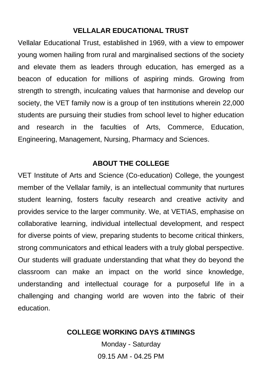#### **VELLALAR EDUCATIONAL TRUST**

Vellalar Educational Trust, established in 1969, with a view to empower young women hailing from rural and marginalised sections of the society and elevate them as leaders through education, has emerged as a beacon of education for millions of aspiring minds. Growing from strength to strength, inculcating values that harmonise and develop our society, the VET family now is a group of ten institutions wherein 22,000 students are pursuing their studies from school level to higher education and research in the faculties of Arts, Commerce, Education, Engineering, Management, Nursing, Pharmacy and Sciences.

### **ABOUT THE COLLEGE**

VET Institute of Arts and Science (Co-education) College, the youngest member of the Vellalar family, is an intellectual community that nurtures student learning, fosters faculty research and creative activity and provides service to the larger community. We, at VETIAS, emphasise on collaborative learning, individual intellectual development, and respect for diverse points of view, preparing students to become critical thinkers, strong communicators and ethical leaders with a truly global perspective. Our students will graduate understanding that what they do beyond the classroom can make an impact on the world since knowledge, understanding and intellectual courage for a purposeful life in a challenging and changing world are woven into the fabric of their education.

#### **COLLEGE WORKING DAYS &TIMINGS**

Monday - Saturday 09.15 AM - 04.25 PM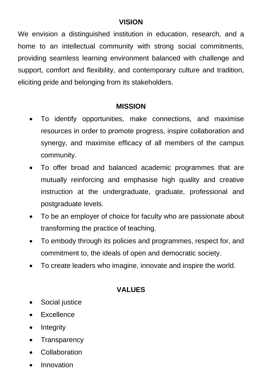### **VISION**

We envision a distinguished institution in education, research, and a home to an intellectual community with strong social commitments, providing seamless learning environment balanced with challenge and support, comfort and flexibility, and contemporary culture and tradition, eliciting pride and belonging from its stakeholders.

### **MISSION**

- To identify opportunities, make connections, and maximise resources in order to promote progress, inspire collaboration and synergy, and maximise efficacy of all members of the campus community.
- To offer broad and balanced academic programmes that are mutually reinforcing and emphasise high quality and creative instruction at the undergraduate, graduate, professional and postgraduate levels.
- To be an employer of choice for faculty who are passionate about transforming the practice of teaching.
- To embody through its policies and programmes, respect for, and commitment to, the ideals of open and democratic society.
- To create leaders who imagine, innovate and inspire the world.

# **VALUES**

- Social justice
- **Excellence**
- Integrity
- Transparency
- Collaboration
- Innovation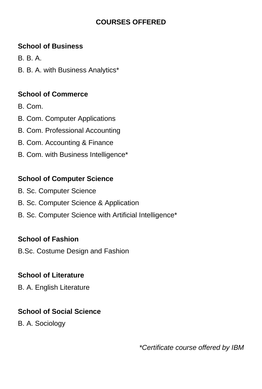# **COURSES OFFERED**

# **School of Business**

- B. B. A.
- B. B. A. with Business Analytics\*

# **School of Commerce**

- B. Com.
- B. Com. Computer Applications
- B. Com. Professional Accounting
- B. Com. Accounting & Finance
- B. Com. with Business Intelligence\*

# **School of Computer Science**

- B. Sc. Computer Science
- B. Sc. Computer Science & Application
- B. Sc. Computer Science with Artificial Intelligence\*

# **School of Fashion**

B.Sc. Costume Design and Fashion

# **School of Literature**

B. A. English Literature

# **School of Social Science**

B. A. Sociology

*\*Certificate course offered by IBM*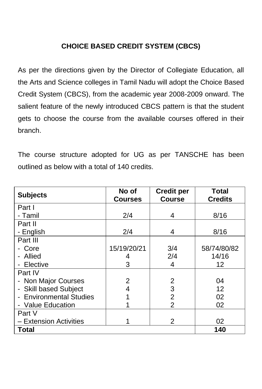# **CHOICE BASED CREDIT SYSTEM (CBCS)**

As per the directions given by the Director of Collegiate Education, all the Arts and Science colleges in Tamil Nadu will adopt the Choice Based Credit System (CBCS), from the academic year 2008-2009 onward. The salient feature of the newly introduced CBCS pattern is that the student gets to choose the course from the available courses offered in their branch.

The course structure adopted for UG as per TANSCHE has been outlined as below with a total of 140 credits.

| <b>Subjects</b>         | No of<br><b>Courses</b> | <b>Credit per</b><br><b>Course</b> | Total<br><b>Credits</b> |
|-------------------------|-------------------------|------------------------------------|-------------------------|
| Part I                  |                         |                                    |                         |
| - Tamil                 | 2/4                     | 4                                  | 8/16                    |
| Part II                 |                         |                                    |                         |
| - English               | 2/4                     | 4                                  | 8/16                    |
| Part III                |                         |                                    |                         |
| Core                    | 15/19/20/21             | 3/4                                | 58/74/80/82             |
| Allied                  | 4                       | 2/4                                | 14/16                   |
| - Elective              | 3                       | 4                                  | 12                      |
| Part IV                 |                         |                                    |                         |
| - Non Major Courses     | $\overline{2}$          | 2                                  | 04                      |
| - Skill based Subject   | 4                       | 3                                  | 12                      |
| - Environmental Studies |                         | 2                                  | 02                      |
| - Value Education       | 1                       | 2                                  | 02                      |
| Part V                  |                         |                                    |                         |
| - Extension Activities  |                         | 2                                  | 02                      |
| <b>Total</b>            |                         |                                    | 140                     |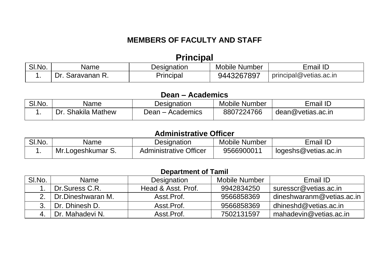# **MEMBERS OF FACULTY AND STAFF**

# **Principal**

| SI.No. | Name                | Designation | Mobile Number | Email ID               |
|--------|---------------------|-------------|---------------|------------------------|
|        | ∍∩ר<br>Saravanan R. | Principal   | 9443267897    | principal@vetias.ac.in |

### **Dean – Academics**

| SI.No. | Name                         | Designation         | Mobile Number | Email ID          |
|--------|------------------------------|---------------------|---------------|-------------------|
|        | <b>Shakila Mathew</b><br>Dr. | ⊃ean –<br>Academics | 8807224766    | dean@vetias.ac.in |

### **Administrative Officer**

| SI.No. | Name              | Designation                   | Mobile Number | Email ID             |
|--------|-------------------|-------------------------------|---------------|----------------------|
|        | Mr.Logeshkumar S. | <b>Administrative Officer</b> | 9566900011    | logeshs@vetias.ac.in |

### **Department of Tamil**

| SI.No. | Name              | Designation        | Mobile Number | Email ID                  |
|--------|-------------------|--------------------|---------------|---------------------------|
|        | Dr.Suress C.R.    | Head & Asst. Prof. | 9942834250    | suresscr@vetias.ac.in     |
|        | Dr.Dineshwaran M. | Asst Prof.         | 9566858369    | dineshwaranm@vetias.ac.in |
|        | Dr. Dhinesh D.    | Asst Prof.         | 9566858369    | dhineshd@vetias.ac.in     |
|        | Dr. Mahadevi N.   | Asst.Prof.         | 7502131597    | mahadevin@vetias.ac.in    |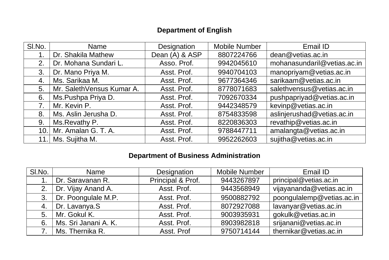# **Department of English**

| SI.No. | Name                      | Designation    | <b>Mobile Number</b> | Email ID                    |
|--------|---------------------------|----------------|----------------------|-----------------------------|
|        | Dr. Shakila Mathew        | Dean (A) & ASP | 8807224766           | dean@vetias.ac.in           |
| 2.     | Dr. Mohana Sundari L.     | Asso. Prof.    | 9942045610           | mohanasundaril@vetias.ac.in |
| 3.     | Dr. Mano Priya M.         | Asst. Prof.    | 9940704103           | manopriyam@vetias.ac.in     |
| 4.     | Ms. Sarikaa M.            | Asst. Prof.    | 9677364346           | sarikaam@vetias.ac.in       |
| 5.     | Mr. SalethVensus Kumar A. | Asst. Prof.    | 8778071683           | salethvensus@vetias.ac.in   |
| 6.     | Ms.Pushpa Priya D.        | Asst. Prof.    | 7092670334           | pushpapriyad@vetias.ac.in   |
| 7.     | Mr. Kevin P.              | Asst. Prof.    | 9442348579           | kevinp@vetias.ac.in         |
| 8.     | Ms. Aslin Jerusha D.      | Asst. Prof.    | 8754833598           | aslinjerushad@vetias.ac.in  |
| 9.     | Ms. Revathy P.            | Asst. Prof.    | 8220836303           | revathip@vetias.ac.in       |
| 10.1   | Mr. Amalan G. T. A.       | Asst. Prof.    | 9788447711           | amalangta@vetias.ac.in      |
| 11.1   | Ms. Sujitha M.            | Asst. Prof.    | 9952262603           | sujitha@vetias.ac.in        |

### **Department of Business Administration**

| SI.No. | Name                 | Designation       | Mobile Number | Email ID                  |
|--------|----------------------|-------------------|---------------|---------------------------|
|        | Dr. Saravanan R.     | Principal & Prof. | 9443267897    | principal@vetias.ac.in    |
| 2.     | Dr. Vijay Anand A.   | Asst. Prof.       | 9443568949    | vijayananda@vetias.ac.in  |
| 3.     | Dr. Poongulale M.P.  | Asst. Prof.       | 9500882792    | poongulalemp@vetias.ac.in |
| 4.     | Dr. Lavanya.S        | Asst. Prof.       | 8072927088    | lavanyar@vetias.ac.in     |
| 5.     | Mr. Gokul K.         | Asst. Prof.       | 9003935931    | gokulk@vetias.ac.in       |
| 6.     | Ms. Sri Janani A. K. | Asst. Prof.       | 8903982818    | srijanani@vetias.ac.in    |
| 7.     | Ms. Thernika R.      | Asst. Prof        | 9750714144    | thernikar@vetias.ac.in    |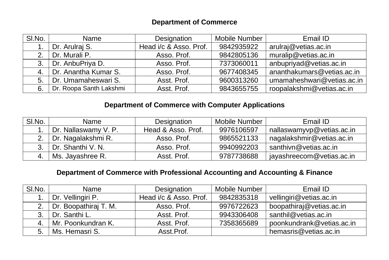### **Department of Commerce**

| SI.No. | Name                    | Designation            | Mobile Number | Email ID                   |
|--------|-------------------------|------------------------|---------------|----------------------------|
|        | Dr. Arulraj S.          | Head i/c & Asso. Prof. | 9842935922    | arulraj@vetias.ac.in       |
| 2.     | Dr. Murali P.           | Asso. Prof.            | 9842805136    | muralip@vetias.ac.in       |
| 3.     | Dr. AnbuPriya D.        | Asso. Prof.            | 7373060011    | anbupriyad@vetias.ac.in    |
| 4.     | Dr. Anantha Kumar S.    | Asso. Prof.            | 9677408345    | ananthakumars@vetias.ac.in |
| 5.     | Dr. Umamaheswari S.     | Asst. Prof.            | 9600313260    | umamaheshwari@vetias.ac.in |
| 6.     | Dr. Roopa Santh Lakshmi | Asst. Prof.            | 9843655755    | roopalakshmi@vetias.ac.in  |

### **Department of Commerce with Computer Applications**

| SI.No. | Name                    | Designation        | Mobile Number | Email ID                  |
|--------|-------------------------|--------------------|---------------|---------------------------|
|        | Dr. Nallaswamy V. P.    | Head & Asso, Prof. | 9976106597    | nallaswamyvp@vetias.ac.in |
|        | 2.   Dr. Nagalakshmi R. | Asso. Prof.        | 9865521133    | nagalakshmir@vetias.ac.in |
|        | Dr. Shanthi V. N.       | Asso. Prof.        | 9940992203    | santhivn@vetias.ac.in     |
| 4.     | Ms. Jayashree R.        | Asst. Prof.        | 9787738688    | jayashreecom@vetias.ac.in |

### **Department of Commerce with Professional Accounting and Accounting & Finance**

| SI.No. | Name                  | Designation            | Mobile Number | Email ID                  |
|--------|-----------------------|------------------------|---------------|---------------------------|
|        | Dr. Vellingiri P.     | Head i/c & Asso. Prof. | 9842835318    | vellingiri@vetias.ac.in   |
| 2.     | Dr. Boopathiraj T. M. | Asso. Prof.            | 9976722623    | boopathiraj@vetias.ac.in  |
| 3.     | Dr. Santhi L.         | Asst. Prof.            | 9943306408    | santhil@vetias.ac.in      |
| 4.     | Mr. Poonkundran K.    | Asst. Prof.            | 7358365689    | poonkundrank@vetias.ac.in |
| 5.     | Ms. Hemasri S.        | Asst.Prof.             |               | hemasris@vetias.ac.in     |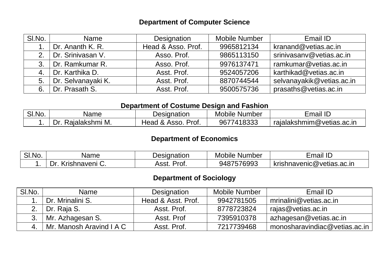### **Department of Computer Science**

| SI.No. | Name               | Designation        | <b>Mobile Number</b> | Email ID                  |
|--------|--------------------|--------------------|----------------------|---------------------------|
|        | Dr. Ananth K. R.   | Head & Asso. Prof. | 9965812134           | kranand@vetias.ac.in      |
| 2.     | Dr. Srinivasan V.  | Asso. Prof.        | 9865113150           | srinivasanv@vetias.ac.in  |
| 3.     | Dr. Ramkumar R.    | Asso. Prof.        | 9976137471           | ramkumar@vetias.ac.in     |
| 4.     | Dr. Karthika D.    | Asst. Prof.        | 9524057206           | karthikad@vetias.ac.in    |
| 5.     | Dr. Selvanayaki K. | Asst. Prof.        | 8870744544           | selvanayakik@vetias.ac.in |
| 6.     | Dr. Prasath S.     | Asst. Prof.        | 9500575736           | prasaths@vetias.ac.in     |

#### **Department of Costume Design and Fashion**

| $\bigcap$ $\bigcap$<br>SI.NO. | Name                      | Designation                                          | Mobile<br>Number - | $\overline{1}$<br>Email<br>שו |
|-------------------------------|---------------------------|------------------------------------------------------|--------------------|-------------------------------|
|                               | M.<br>∢aialakshmi<br>. Yr | $\Omega$<br>Prof.<br>Asso.<br>Head<br>^.<br>$\alpha$ | 418333<br>9677     | rajalakshmim@vetias.ac.in     |

### **Department of Economics**

| ା. $No.$<br>ات | vame                    | Designation   | Mobile<br>Number | $\overline{\phantom{a}}$<br>Email<br>- ⊢ |
|----------------|-------------------------|---------------|------------------|------------------------------------------|
|                | 'rıshnaveni<br>D٢<br>J. | Proi.<br>Asst | 576993<br>948.   | krishnavenic@vetias.ac.in                |

### **Department of Sociology**

| SI.No. | Name                        | Designation        | Mobile Number | Email ID                      |
|--------|-----------------------------|--------------------|---------------|-------------------------------|
|        | I Dr. Mrinalini S.          | Head & Asst. Prof. | 9942781505    | mrinalini@vetias.ac.in        |
|        | 2.   Dr. Raja S.            | Asst. Prof.        | 8778723824    | rajas@vetias.ac.in            |
|        | 3.   Mr. Azhagesan S.       | Asst. Prof         | 7395910378    | azhagesan@vetias.ac.in        |
|        | 4. Mr. Manosh Aravind I A C | Asst. Prof.        | 7217739468    | monosharavindiac@vetias.ac.in |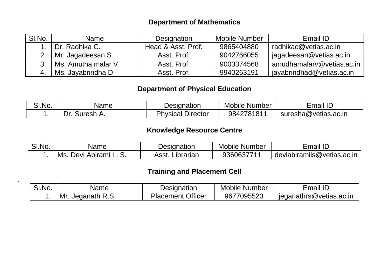### **Department of Mathematics**

| SI.No. | Name                    | Designation        | Mobile Number | Email ID                  |
|--------|-------------------------|--------------------|---------------|---------------------------|
|        | Dr. Radhika C.          | Head & Asst. Prof. | 9865404880    | radhikac@vetias.ac.in     |
|        | 2.   Mr. Jagadeesan S.  | Asst. Prof.        | 9042766055    | jagadeesan@vetias.ac.in   |
| 3.1    | Ms. Amutha malar V.     | Asst. Prof.        | 9003374568    | amudhamalary@vetias.ac.in |
|        | 4.   Ms. Jayabrindha D. | Asst. Prof.        | 9940263191    | jayabrindhad@vetias.ac.in |

### **Department of Physical Education**

| SI.No. | Name                      | Designation                       | Mobile<br>Number | $\overline{\phantom{a}}$<br>. .<br>Email<br>ப |
|--------|---------------------------|-----------------------------------|------------------|-----------------------------------------------|
|        | -<br>١r<br>∍uresh.<br>. . | --<br>$D$ <i>rector</i><br>sical/ | 9842781811       | suresha@vetias.ac.in                          |

### **Knowledge Resource Centre**

| SI.No. | Name                                   | Designation        | Mobile<br>Number | Email<br>- 11-             |
|--------|----------------------------------------|--------------------|------------------|----------------------------|
|        | <sup>:</sup> Abirami L.<br>Dev⊧<br>Ms. | Asst.<br>Librarian | 936063771        | deviabiramils@vetias.ac.in |

### **Training and Placement Cell**

| SI.No. | Name                   | Designation                   | Number<br><b>Mobile</b> | il ID<br>∶maıl          |
|--------|------------------------|-------------------------------|-------------------------|-------------------------|
|        | R.S<br>Mr.<br>Jedanath | <b>Officer</b><br>Placement \ | 9677095523              | jeganathrs@vetias.ac.in |

.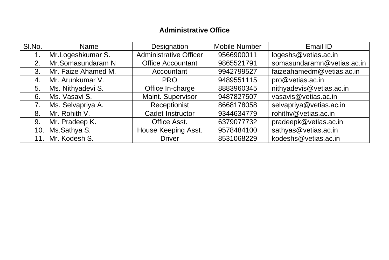### **Administrative Office**

| SI.No. | Name                | Designation                   | Mobile Number | Email ID                   |
|--------|---------------------|-------------------------------|---------------|----------------------------|
|        | Mr.Logeshkumar S.   | <b>Administrative Officer</b> | 9566900011    | logeshs@vetias.ac.in       |
| 2.     | Mr.Somasundaram N   | <b>Office Accountant</b>      | 9865521791    | somasundaramn@vetias.ac.in |
| 3.     | Mr. Faize Ahamed M. | Accountant                    | 9942799527    | faizeahamedm@vetias.ac.in  |
| 4.     | Mr. Arunkumar V.    | <b>PRO</b>                    | 9489551115    | pro@vetias.ac.in           |
| 5.     | Ms. Nithyadevi S.   | Office In-charge              | 8883960345    | nithyadevis@vetias.ac.in   |
| 6.     | Ms. Vasavi S.       | Maint. Supervisor             | 9487827507    | vasavis@vetias.ac.in       |
| 7.     | Ms. Selvapriya A.   | Receptionist                  | 8668178058    | selvapriya@vetias.ac.in    |
| 8.     | Mr. Rohith V.       | Cadet Instructor              | 9344634779    | rohithv@vetias.ac.in       |
| 9.     | Mr. Pradeep K.      | Office Asst.                  | 6379077732    | pradeepk@vetias.ac.in      |
|        | 10. Ms.Sathya S.    | House Keeping Asst.           | 9578484100    | sathyas@vetias.ac.in       |
|        | 11. Mr. Kodesh S.   | <b>Driver</b>                 | 8531068229    | kodeshs@vetias.ac.in       |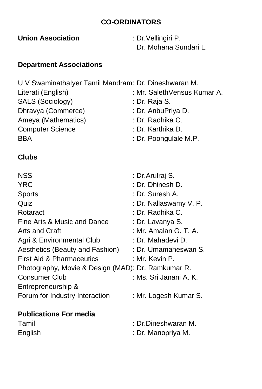# **CO-ORDINATORS**

**Union Association** : Dr.Vellingiri P.

Dr. Mohana Sundari L.

# **Department Associations**

| U V Swaminathalyer Tamil Mandram: Dr. Dineshwaran M. |
|------------------------------------------------------|
| : Mr. SalethVensus Kumar A.                          |
| : Dr. Raja S.                                        |
| : Dr. AnbuPriya D.                                   |
| : Dr. Radhika C.                                     |
| : Dr. Karthika D.                                    |
| : Dr. Poongulale M.P.                                |
|                                                      |

### **Clubs**

| <b>NSS</b>                                         | : Dr.Arulraj S.        |
|----------------------------------------------------|------------------------|
| <b>YRC</b>                                         | : Dr. Dhinesh D.       |
| <b>Sports</b>                                      | : Dr. Suresh A.        |
| Quiz                                               | : Dr. Nallaswamy V. P. |
| Rotaract                                           | : Dr. Radhika C.       |
| Fine Arts & Music and Dance                        | : Dr. Lavanya S.       |
| <b>Arts and Craft</b>                              | : Mr. Amalan G. T. A.  |
| Agri & Environmental Club                          | : Dr. Mahadevi D.      |
| Aesthetics (Beauty and Fashion)                    | : Dr. Umamaheswari S.  |
| <b>First Aid &amp; Pharmaceutics</b>               | : Mr. Kevin P.         |
| Photography, Movie & Design (MAD): Dr. Ramkumar R. |                        |
| <b>Consumer Club</b>                               | : Ms. Sri Janani A. K. |
| Entrepreneurship &                                 |                        |
| Forum for Industry Interaction                     | : Mr. Logesh Kumar S.  |
| <b>Publications For media</b>                      |                        |
| Tamil                                              | : Dr.Dineshwaran M.    |
| English                                            | : Dr. Manopriya M.     |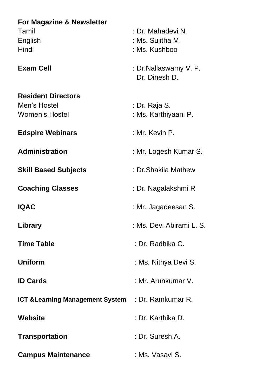# **For Magazine & Newsletter** Tamil : Dr. Mahadevi N. English : Ms. Sujitha M. Hindi : Ms. Kushboo **Exam Cell Exam Cell Exam Cell Exam Cell Exam Cell Exam Delayer Example 2 C**  Dr. Dinesh D. **Resident Directors** Men's Hostel : Dr. Raja S. Women's Hostel : Ms. Karthiyaani P. **Edspire Webinars** : Mr. Kevin P. **Administration** : Mr. Logesh Kumar S. **Skill Based Subjects** : Dr.Shakila Mathew **Coaching Classes** : Dr. Nagalakshmi R **IQAC** : Mr. Jagadeesan S. **Library** : Ms. Devi Abirami L. S. **Time Table** : Dr. Radhika C. **Uniform** : Ms. Nithya Devi S. **ID Cards** : Mr. Arunkumar V. **ICT &Learning Management System** : Dr. Ramkumar R. **Website** : Dr. Karthika D. **Transportation** : Dr. Suresh A. **Campus Maintenance** : Ms. Vasavi S.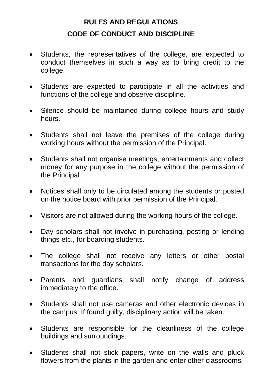# **RULES AND REGULATIONS CODE OF CONDUCT AND DISCIPLINE**

- Students, the representatives of the college, are expected to conduct themselves in such a way as to bring credit to the college.
- Students are expected to participate in all the activities and functions of the college and observe discipline.
- Silence should be maintained during college hours and study hours.
- Students shall not leave the premises of the college during working hours without the permission of the Principal.
- Students shall not organise meetings, entertainments and collect money for any purpose in the college without the permission of the Principal.
- Notices shall only to be circulated among the students or posted on the notice board with prior permission of the Principal.
- Visitors are not allowed during the working hours of the college.
- Day scholars shall not involve in purchasing, posting or lending things etc., for boarding students.
- The college shall not receive any letters or other postal transactions for the day scholars.
- Parents and guardians shall notify change of address immediately to the office.
- Students shall not use cameras and other electronic devices in the campus. If found guilty, disciplinary action will be taken.
- Students are responsible for the cleanliness of the college buildings and surroundings.
- Students shall not stick papers, write on the walls and pluck flowers from the plants in the garden and enter other classrooms.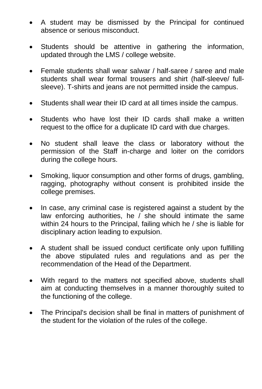- A student may be dismissed by the Principal for continued absence or serious misconduct.
- Students should be attentive in gathering the information, updated through the LMS / college website.
- Female students shall wear salwar / half-saree / saree and male students shall wear formal trousers and shirt (half-sleeve/ fullsleeve). T-shirts and jeans are not permitted inside the campus.
- Students shall wear their ID card at all times inside the campus.
- Students who have lost their ID cards shall make a written request to the office for a duplicate ID card with due charges.
- No student shall leave the class or laboratory without the permission of the Staff in-charge and loiter on the corridors during the college hours.
- Smoking, liquor consumption and other forms of drugs, gambling, ragging, photography without consent is prohibited inside the college premises.
- In case, any criminal case is registered against a student by the law enforcing authorities, he  $\ell$  she should intimate the same within 24 hours to the Principal, failing which he / she is liable for disciplinary action leading to expulsion.
- A student shall be issued conduct certificate only upon fulfilling the above stipulated rules and regulations and as per the recommendation of the Head of the Department.
- With regard to the matters not specified above, students shall aim at conducting themselves in a manner thoroughly suited to the functioning of the college.
- The Principal's decision shall be final in matters of punishment of the student for the violation of the rules of the college.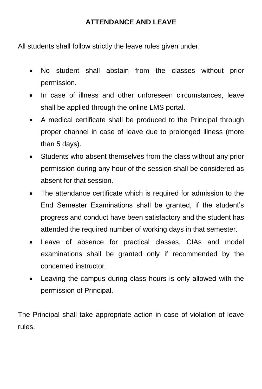## **ATTENDANCE AND LEAVE**

All students shall follow strictly the leave rules given under.

- No student shall abstain from the classes without prior permission.
- In case of illness and other unforeseen circumstances, leave shall be applied through the online LMS portal.
- A medical certificate shall be produced to the Principal through proper channel in case of leave due to prolonged illness (more than 5 days).
- Students who absent themselves from the class without any prior permission during any hour of the session shall be considered as absent for that session.
- The attendance certificate which is required for admission to the End Semester Examinations shall be granted, if the student's progress and conduct have been satisfactory and the student has attended the required number of working days in that semester.
- Leave of absence for practical classes, CIAs and model examinations shall be granted only if recommended by the concerned instructor.
- Leaving the campus during class hours is only allowed with the permission of Principal.

The Principal shall take appropriate action in case of violation of leave rules.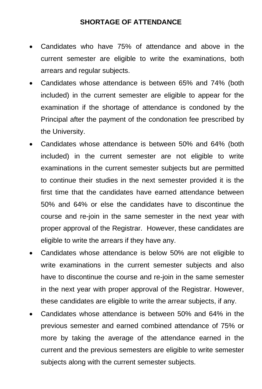### **SHORTAGE OF ATTENDANCE**

- Candidates who have 75% of attendance and above in the current semester are eligible to write the examinations, both arrears and regular subjects.
- Candidates whose attendance is between 65% and 74% (both included) in the current semester are eligible to appear for the examination if the shortage of attendance is condoned by the Principal after the payment of the condonation fee prescribed by the University.
- Candidates whose attendance is between 50% and 64% (both included) in the current semester are not eligible to write examinations in the current semester subjects but are permitted to continue their studies in the next semester provided it is the first time that the candidates have earned attendance between 50% and 64% or else the candidates have to discontinue the course and re-join in the same semester in the next year with proper approval of the Registrar. However, these candidates are eligible to write the arrears if they have any.
- Candidates whose attendance is below 50% are not eligible to write examinations in the current semester subjects and also have to discontinue the course and re-join in the same semester in the next year with proper approval of the Registrar. However, these candidates are eligible to write the arrear subjects, if any.
- Candidates whose attendance is between 50% and 64% in the previous semester and earned combined attendance of 75% or more by taking the average of the attendance earned in the current and the previous semesters are eligible to write semester subjects along with the current semester subjects.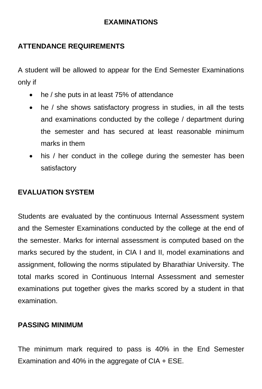### **EXAMINATIONS**

# **ATTENDANCE REQUIREMENTS**

A student will be allowed to appear for the End Semester Examinations only if

- he / she puts in at least 75% of attendance
- he / she shows satisfactory progress in studies, in all the tests and examinations conducted by the college / department during the semester and has secured at least reasonable minimum marks in them
- his / her conduct in the college during the semester has been satisfactory

### **EVALUATION SYSTEM**

Students are evaluated by the continuous Internal Assessment system and the Semester Examinations conducted by the college at the end of the semester. Marks for internal assessment is computed based on the marks secured by the student, in CIA I and II, model examinations and assignment, following the norms stipulated by Bharathiar University. The total marks scored in Continuous Internal Assessment and semester examinations put together gives the marks scored by a student in that examination.

### **PASSING MINIMUM**

The minimum mark required to pass is 40% in the End Semester Examination and 40% in the aggregate of CIA + ESE.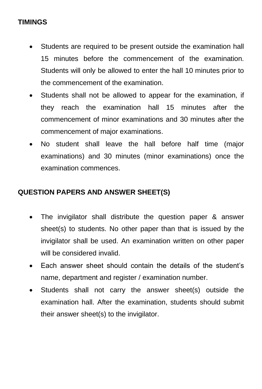# **TIMINGS**

- Students are required to be present outside the examination hall 15 minutes before the commencement of the examination. Students will only be allowed to enter the hall 10 minutes prior to the commencement of the examination.
- Students shall not be allowed to appear for the examination, if they reach the examination hall 15 minutes after the commencement of minor examinations and 30 minutes after the commencement of major examinations.
- No student shall leave the hall before half time (major examinations) and 30 minutes (minor examinations) once the examination commences.

# **QUESTION PAPERS AND ANSWER SHEET(S)**

- The invigilator shall distribute the question paper & answer sheet(s) to students. No other paper than that is issued by the invigilator shall be used. An examination written on other paper will be considered invalid.
- Each answer sheet should contain the details of the student's name, department and register / examination number.
- Students shall not carry the answer sheet(s) outside the examination hall. After the examination, students should submit their answer sheet(s) to the invigilator.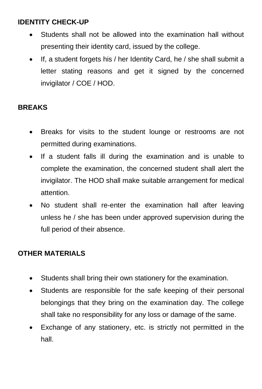# **IDENTITY CHECK-UP**

- Students shall not be allowed into the examination hall without presenting their identity card, issued by the college.
- If, a student forgets his / her Identity Card, he / she shall submit a letter stating reasons and get it signed by the concerned invigilator / COE / HOD.

### **BREAKS**

- Breaks for visits to the student lounge or restrooms are not permitted during examinations.
- If a student falls ill during the examination and is unable to complete the examination, the concerned student shall alert the invigilator. The HOD shall make suitable arrangement for medical attention.
- No student shall re-enter the examination hall after leaving unless he / she has been under approved supervision during the full period of their absence.

# **OTHER MATERIALS**

- Students shall bring their own stationery for the examination.
- Students are responsible for the safe keeping of their personal belongings that they bring on the examination day. The college shall take no responsibility for any loss or damage of the same.
- Exchange of any stationery, etc. is strictly not permitted in the hall.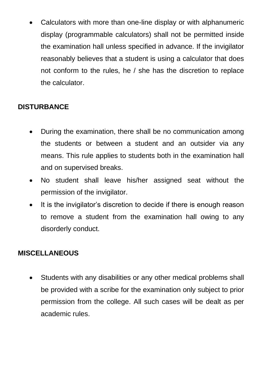• Calculators with more than one-line display or with alphanumeric display (programmable calculators) shall not be permitted inside the examination hall unless specified in advance. If the invigilator reasonably believes that a student is using a calculator that does not conform to the rules, he / she has the discretion to replace the calculator.

# **DISTURBANCE**

- During the examination, there shall be no communication among the students or between a student and an outsider via any means. This rule applies to students both in the examination hall and on supervised breaks.
- No student shall leave his/her assigned seat without the permission of the invigilator.
- It is the invigilator's discretion to decide if there is enough reason to remove a student from the examination hall owing to any disorderly conduct.

# **MISCELLANEOUS**

• Students with any disabilities or any other medical problems shall be provided with a scribe for the examination only subject to prior permission from the college. All such cases will be dealt as per academic rules.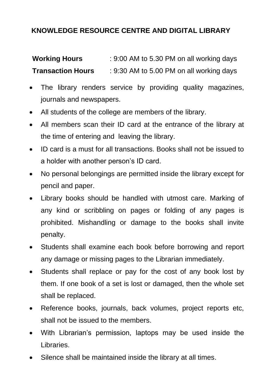# **KNOWLEDGE RESOURCE CENTRE AND DIGITAL LIBRARY**

| <b>Working Hours</b>     | : 9:00 AM to 5.30 PM on all working days |
|--------------------------|------------------------------------------|
| <b>Transaction Hours</b> | : 9:30 AM to 5.00 PM on all working days |

- The library renders service by providing quality magazines, journals and newspapers.
- All students of the college are members of the library.
- All members scan their ID card at the entrance of the library at the time of entering and leaving the library.
- ID card is a must for all transactions. Books shall not be issued to a holder with another person's ID card.
- No personal belongings are permitted inside the library except for pencil and paper.
- Library books should be handled with utmost care. Marking of any kind or scribbling on pages or folding of any pages is prohibited. Mishandling or damage to the books shall invite penalty.
- Students shall examine each book before borrowing and report any damage or missing pages to the Librarian immediately.
- Students shall replace or pay for the cost of any book lost by them. If one book of a set is lost or damaged, then the whole set shall be replaced.
- Reference books, journals, back volumes, project reports etc, shall not be issued to the members.
- With Librarian's permission, laptops may be used inside the Libraries.
- Silence shall be maintained inside the library at all times.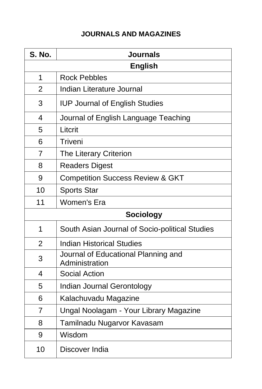# **JOURNALS AND MAGAZINES**

| S. No.         | <b>Journals</b>                                       |  |
|----------------|-------------------------------------------------------|--|
|                | <b>English</b>                                        |  |
| 1              | <b>Rock Pebbles</b>                                   |  |
| $\overline{2}$ | Indian Literature Journal                             |  |
| 3              | <b>IUP Journal of English Studies</b>                 |  |
| 4              | Journal of English Language Teaching                  |  |
| 5              | Litcrit                                               |  |
| 6              | Triveni                                               |  |
| 7              | The Literary Criterion                                |  |
| 8              | <b>Readers Digest</b>                                 |  |
| 9              | <b>Competition Success Review &amp; GKT</b>           |  |
| 10             | <b>Sports Star</b>                                    |  |
| 11             | Women's Era                                           |  |
|                | <b>Sociology</b>                                      |  |
| 1              | South Asian Journal of Socio-political Studies        |  |
| $\overline{2}$ | <b>Indian Historical Studies</b>                      |  |
| 3              | Journal of Educational Planning and<br>Administration |  |
| 4              | <b>Social Action</b>                                  |  |
| 5              | Indian Journal Gerontology                            |  |
| 6              | Kalachuvadu Magazine                                  |  |
| 7              | Ungal Noolagam - Your Library Magazine                |  |
| 8              | Tamilnadu Nugarvor Kavasam                            |  |
| 9              | Wisdom                                                |  |
| 10             | Discover India                                        |  |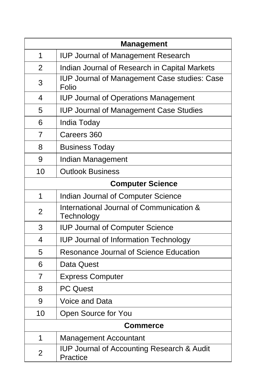|                | <b>Management</b>                                                 |
|----------------|-------------------------------------------------------------------|
| 1              | <b>IUP Journal of Management Research</b>                         |
| $\overline{2}$ | Indian Journal of Research in Capital Markets                     |
| 3              | <b>IUP Journal of Management Case studies: Case</b><br>Folio      |
| 4              | <b>IUP Journal of Operations Management</b>                       |
| 5              | <b>IUP Journal of Management Case Studies</b>                     |
| 6              | India Today                                                       |
| 7              | Careers 360                                                       |
| 8              | <b>Business Today</b>                                             |
| 9              | Indian Management                                                 |
| 10             | <b>Outlook Business</b>                                           |
|                | <b>Computer Science</b>                                           |
| $\mathbf{1}$   | <b>Indian Journal of Computer Science</b>                         |
| $\overline{2}$ | International Journal of Communication &<br>Technology            |
| 3              | <b>IUP Journal of Computer Science</b>                            |
| 4              | <b>IUP Journal of Information Technology</b>                      |
| 5              | <b>Resonance Journal of Science Education</b>                     |
| 6              | Data Quest                                                        |
| 7              | <b>Express Computer</b>                                           |
| 8              | <b>PC Quest</b>                                                   |
| 9              | <b>Voice and Data</b>                                             |
| 10             | Open Source for You                                               |
|                | <b>Commerce</b>                                                   |
| $\mathbf 1$    | <b>Management Accountant</b>                                      |
| $\overline{2}$ | <b>IUP Journal of Accounting Research &amp; Audit</b><br>Practice |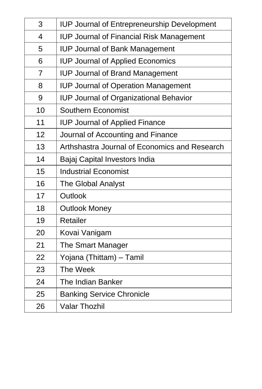| 3  | <b>IUP Journal of Entrepreneurship Development</b> |
|----|----------------------------------------------------|
| 4  | <b>IUP Journal of Financial Risk Management</b>    |
| 5  | <b>IUP Journal of Bank Management</b>              |
| 6  | <b>IUP Journal of Applied Economics</b>            |
| 7  | <b>IUP Journal of Brand Management</b>             |
| 8  | <b>IUP Journal of Operation Management</b>         |
| 9  | <b>IUP Journal of Organizational Behavior</b>      |
| 10 | <b>Southern Economist</b>                          |
| 11 | <b>IUP Journal of Applied Finance</b>              |
| 12 | Journal of Accounting and Finance                  |
| 13 | Arthshastra Journal of Economics and Research      |
| 14 | Bajaj Capital Investors India                      |
| 15 | <b>Industrial Economist</b>                        |
| 16 | <b>The Global Analyst</b>                          |
| 17 | Outlook                                            |
| 18 | <b>Outlook Money</b>                               |
| 19 | Retailer                                           |
| 20 | Kovai Vanigam                                      |
| 21 | The Smart Manager                                  |
| 22 | Yojana (Thittam) – Tamil                           |
| 23 | The Week                                           |
| 24 | <b>The Indian Banker</b>                           |
| 25 | <b>Banking Service Chronicle</b>                   |
| 26 | <b>Valar Thozhil</b>                               |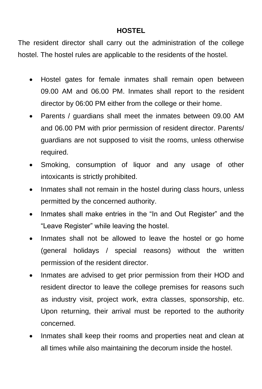### **HOSTEL**

The resident director shall carry out the administration of the college hostel. The hostel rules are applicable to the residents of the hostel.

- Hostel gates for female inmates shall remain open between 09.00 AM and 06.00 PM. Inmates shall report to the resident director by 06:00 PM either from the college or their home.
- Parents / guardians shall meet the inmates between 09.00 AM and 06.00 PM with prior permission of resident director. Parents/ guardians are not supposed to visit the rooms, unless otherwise required.
- Smoking, consumption of liquor and any usage of other intoxicants is strictly prohibited.
- Inmates shall not remain in the hostel during class hours, unless permitted by the concerned authority.
- Inmates shall make entries in the "In and Out Register" and the "Leave Register" while leaving the hostel.
- Inmates shall not be allowed to leave the hostel or go home (general holidays / special reasons) without the written permission of the resident director.
- Inmates are advised to get prior permission from their HOD and resident director to leave the college premises for reasons such as industry visit, project work, extra classes, sponsorship, etc. Upon returning, their arrival must be reported to the authority concerned.
- Inmates shall keep their rooms and properties neat and clean at all times while also maintaining the decorum inside the hostel.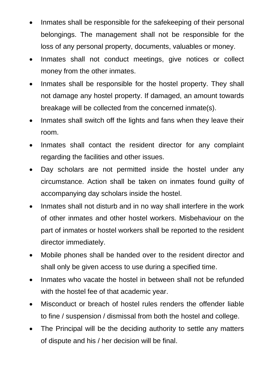- Inmates shall be responsible for the safekeeping of their personal belongings. The management shall not be responsible for the loss of any personal property, documents, valuables or money.
- Inmates shall not conduct meetings, give notices or collect money from the other inmates.
- Inmates shall be responsible for the hostel property. They shall not damage any hostel property. If damaged, an amount towards breakage will be collected from the concerned inmate(s).
- Inmates shall switch off the lights and fans when they leave their room.
- Inmates shall contact the resident director for any complaint regarding the facilities and other issues.
- Day scholars are not permitted inside the hostel under any circumstance. Action shall be taken on inmates found guilty of accompanying day scholars inside the hostel.
- Inmates shall not disturb and in no way shall interfere in the work of other inmates and other hostel workers. Misbehaviour on the part of inmates or hostel workers shall be reported to the resident director immediately.
- Mobile phones shall be handed over to the resident director and shall only be given access to use during a specified time.
- Inmates who vacate the hostel in between shall not be refunded with the hostel fee of that academic year.
- Misconduct or breach of hostel rules renders the offender liable to fine / suspension / dismissal from both the hostel and college.
- The Principal will be the deciding authority to settle any matters of dispute and his / her decision will be final.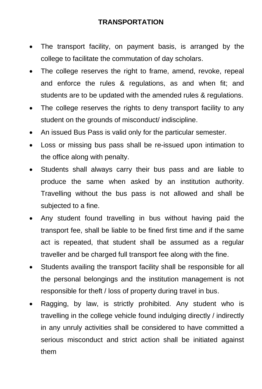### **TRANSPORTATION**

- The transport facility, on payment basis, is arranged by the college to facilitate the commutation of day scholars.
- The college reserves the right to frame, amend, revoke, repeal and enforce the rules & regulations, as and when fit; and students are to be updated with the amended rules & regulations.
- The college reserves the rights to deny transport facility to any student on the grounds of misconduct/ indiscipline.
- An issued Bus Pass is valid only for the particular semester.
- Loss or missing bus pass shall be re-issued upon intimation to the office along with penalty.
- Students shall always carry their bus pass and are liable to produce the same when asked by an institution authority. Travelling without the bus pass is not allowed and shall be subjected to a fine.
- Any student found travelling in bus without having paid the transport fee, shall be liable to be fined first time and if the same act is repeated, that student shall be assumed as a regular traveller and be charged full transport fee along with the fine.
- Students availing the transport facility shall be responsible for all the personal belongings and the institution management is not responsible for theft / loss of property during travel in bus.
- Ragging, by law, is strictly prohibited. Any student who is travelling in the college vehicle found indulging directly / indirectly in any unruly activities shall be considered to have committed a serious misconduct and strict action shall be initiated against them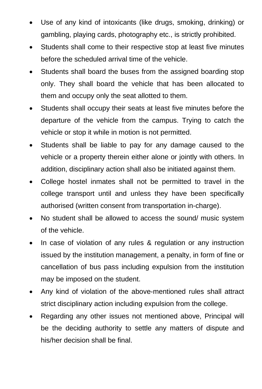- Use of any kind of intoxicants (like drugs, smoking, drinking) or gambling, playing cards, photography etc., is strictly prohibited.
- Students shall come to their respective stop at least five minutes before the scheduled arrival time of the vehicle.
- Students shall board the buses from the assigned boarding stop only. They shall board the vehicle that has been allocated to them and occupy only the seat allotted to them.
- Students shall occupy their seats at least five minutes before the departure of the vehicle from the campus. Trying to catch the vehicle or stop it while in motion is not permitted.
- Students shall be liable to pay for any damage caused to the vehicle or a property therein either alone or jointly with others. In addition, disciplinary action shall also be initiated against them.
- College hostel inmates shall not be permitted to travel in the college transport until and unless they have been specifically authorised (written consent from transportation in-charge).
- No student shall be allowed to access the sound/ music system of the vehicle.
- In case of violation of any rules & regulation or any instruction issued by the institution management, a penalty, in form of fine or cancellation of bus pass including expulsion from the institution may be imposed on the student.
- Any kind of violation of the above-mentioned rules shall attract strict disciplinary action including expulsion from the college.
- Regarding any other issues not mentioned above. Principal will be the deciding authority to settle any matters of dispute and his/her decision shall be final.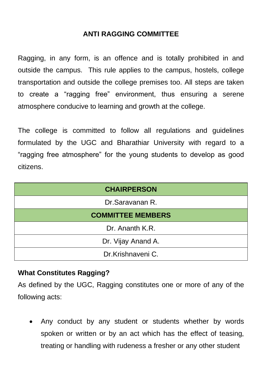### **ANTI RAGGING COMMITTEE**

Ragging, in any form, is an offence and is totally prohibited in and outside the campus. This rule applies to the campus, hostels, college transportation and outside the college premises too. All steps are taken to create a "ragging free" environment, thus ensuring a serene atmosphere conducive to learning and growth at the college.

The college is committed to follow all regulations and guidelines formulated by the UGC and Bharathiar University with regard to a "ragging free atmosphere" for the young students to develop as good citizens.

| <b>CHAIRPERSON</b>       |
|--------------------------|
| Dr.Saravanan R.          |
| <b>COMMITTEE MEMBERS</b> |
| Dr. Ananth K.R.          |
| Dr. Vijay Anand A.       |
| Dr.Krishnaveni C.        |

### **What Constitutes Ragging?**

As defined by the UGC, Ragging constitutes one or more of any of the following acts:

• Any conduct by any student or students whether by words spoken or written or by an act which has the effect of teasing, treating or handling with rudeness a fresher or any other student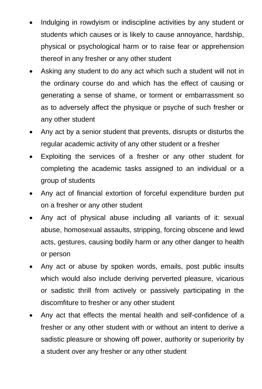- Indulging in rowdyism or indiscipline activities by any student or students which causes or is likely to cause annoyance, hardship, physical or psychological harm or to raise fear or apprehension thereof in any fresher or any other student
- Asking any student to do any act which such a student will not in the ordinary course do and which has the effect of causing or generating a sense of shame, or torment or embarrassment so as to adversely affect the physique or psyche of such fresher or any other student
- Any act by a senior student that prevents, disrupts or disturbs the regular academic activity of any other student or a fresher
- Exploiting the services of a fresher or any other student for completing the academic tasks assigned to an individual or a group of students
- Any act of financial extortion of forceful expenditure burden put on a fresher or any other student
- Any act of physical abuse including all variants of it: sexual abuse, homosexual assaults, stripping, forcing obscene and lewd acts, gestures, causing bodily harm or any other danger to health or person
- Any act or abuse by spoken words, emails, post public insults which would also include deriving perverted pleasure, vicarious or sadistic thrill from actively or passively participating in the discomfiture to fresher or any other student
- Any act that effects the mental health and self-confidence of a fresher or any other student with or without an intent to derive a sadistic pleasure or showing off power, authority or superiority by a student over any fresher or any other student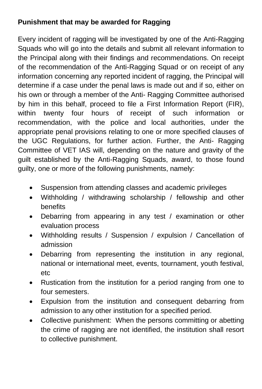# **Punishment that may be awarded for Ragging**

Every incident of ragging will be investigated by one of the Anti-Ragging Squads who will go into the details and submit all relevant information to the Principal along with their findings and recommendations. On receipt of the recommendation of the Anti-Ragging Squad or on receipt of any information concerning any reported incident of ragging, the Principal will determine if a case under the penal laws is made out and if so, either on his own or through a member of the Anti- Ragging Committee authorised by him in this behalf, proceed to file a First Information Report (FIR), within twenty four hours of receipt of such information or recommendation, with the police and local authorities, under the appropriate penal provisions relating to one or more specified clauses of the UGC Regulations, for further action. Further, the Anti- Ragging Committee of VET IAS will, depending on the nature and gravity of the guilt established by the Anti-Ragging Squads, award, to those found guilty, one or more of the following punishments, namely:

- Suspension from attending classes and academic privileges
- Withholding / withdrawing scholarship / fellowship and other benefits
- Debarring from appearing in any test / examination or other evaluation process
- Withholding results / Suspension / expulsion / Cancellation of admission
- Debarring from representing the institution in any regional, national or international meet, events, tournament, youth festival, etc
- Rustication from the institution for a period ranging from one to four semesters.
- Expulsion from the institution and consequent debarring from admission to any other institution for a specified period.
- Collective punishment: When the persons committing or abetting the crime of ragging are not identified, the institution shall resort to collective punishment.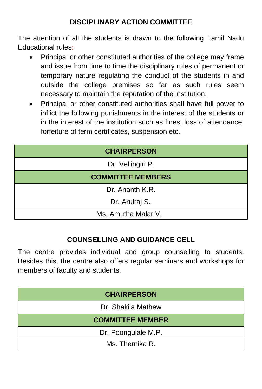# **DISCIPLINARY ACTION COMMITTEE**

The attention of all the students is drawn to the following Tamil Nadu Educational rules:

- Principal or other constituted authorities of the college may frame and issue from time to time the disciplinary rules of permanent or temporary nature regulating the conduct of the students in and outside the college premises so far as such rules seem necessary to maintain the reputation of the institution.
- Principal or other constituted authorities shall have full power to inflict the following punishments in the interest of the students or in the interest of the institution such as fines, loss of attendance, forfeiture of term certificates, suspension etc.

| <b>CHAIRPERSON</b>       |
|--------------------------|
| Dr. Vellingiri P.        |
| <b>COMMITTEE MEMBERS</b> |
| Dr. Ananth K.R.          |
| Dr. Arulraj S.           |
| Ms. Amutha Malar V.      |

### **COUNSELLING AND GUIDANCE CELL**

The centre provides individual and group counselling to students. Besides this, the centre also offers regular seminars and workshops for members of faculty and students.

| <b>CHAIRPERSON</b>      |
|-------------------------|
| Dr. Shakila Mathew      |
| <b>COMMITTEE MEMBER</b> |
| Dr. Poongulale M.P.     |
| Ms. Thernika R.         |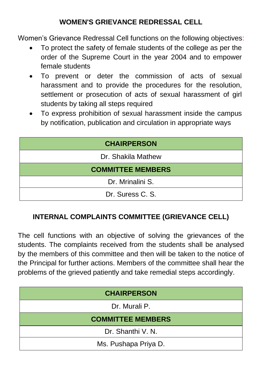# **WOMEN'S GRIEVANCE REDRESSAL CELL**

Women's Grievance Redressal Cell functions on the following objectives:

- To protect the safety of female students of the college as per the order of the Supreme Court in the year 2004 and to empower female students
- To prevent or deter the commission of acts of sexual harassment and to provide the procedures for the resolution, settlement or prosecution of acts of sexual harassment of girl students by taking all steps required
- To express prohibition of sexual harassment inside the campus by notification, publication and circulation in appropriate ways

| <b>CHAIRPERSON</b>       |
|--------------------------|
| Dr. Shakila Mathew       |
| <b>COMMITTEE MEMBERS</b> |
| Dr. Mrinalini S.         |
| Dr. Suress C. S.         |

### **INTERNAL COMPLAINTS COMMITTEE (GRIEVANCE CELL)**

The cell functions with an objective of solving the grievances of the students. The complaints received from the students shall be analysed by the members of this committee and then will be taken to the notice of the Principal for further actions. Members of the committee shall hear the problems of the grieved patiently and take remedial steps accordingly.

| <b>CHAIRPERSON</b>       |
|--------------------------|
| Dr. Murali P.            |
| <b>COMMITTEE MEMBERS</b> |
| Dr. Shanthi V. N.        |
| Ms. Pushapa Priya D.     |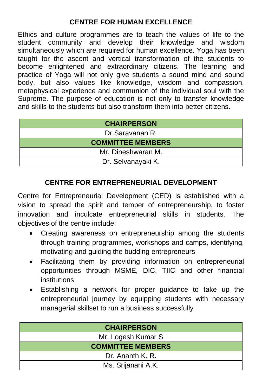# **CENTRE FOR HUMAN EXCELLENCE**

Ethics and culture programmes are to teach the values of life to the student community and develop their knowledge and wisdom simultaneously which are required for human excellence. Yoga has been taught for the ascent and vertical transformation of the students to become enlightened and extraordinary citizens. The learning and practice of Yoga will not only give students a sound mind and sound body, but also values like knowledge, wisdom and compassion, metaphysical experience and communion of the individual soul with the Supreme. The purpose of education is not only to transfer knowledge and skills to the students but also transform them into better citizens.

| <b>CHAIRPERSON</b>       |
|--------------------------|
| Dr.Saravanan R.          |
| <b>COMMITTEE MEMBERS</b> |
| Mr. Dineshwaran M.       |
| Dr. Selvanayaki K.       |

# **CENTRE FOR ENTREPRENEURIAL DEVELOPMENT**

Centre for Entrepreneurial Development (CED) is established with a vision to spread the spirit and temper of entrepreneurship, to foster innovation and inculcate entrepreneurial skills in students. The objectives of the centre include:

- Creating awareness on entrepreneurship among the students through training programmes, workshops and camps, identifying, motivating and guiding the budding entrepreneurs
- Facilitating them by providing information on entrepreneurial opportunities through MSME, DIC, TIIC and other financial institutions
- Establishing a network for proper guidance to take up the entrepreneurial journey by equipping students with necessary managerial skillset to run a business successfully

| <b>CHAIRPERSON</b>       |
|--------------------------|
| Mr. Logesh Kumar S       |
| <b>COMMITTEE MEMBERS</b> |
| Dr. Ananth K. R.         |
| Ms. Srijanani A.K.       |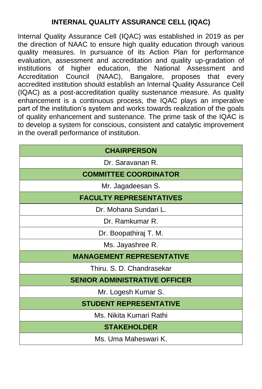# **INTERNAL QUALITY ASSURANCE CELL (IQAC)**

Internal Quality Assurance Cell (IQAC) was established in 2019 as per the direction of NAAC to ensure high quality education through various quality measures. In pursuance of its Action Plan for performance evaluation, assessment and accreditation and quality up-gradation of institutions of higher education, the National Assessment and<br>Accreditation Council (NAAC). Bangalore, proposes that every Accreditation Council (NAAC), Bangalore, proposes that every accredited institution should establish an Internal Quality Assurance Cell (IQAC) as a post-accreditation quality sustenance measure. As quality enhancement is a continuous process, the IQAC plays an imperative part of the institution's system and works towards realization of the goals of quality enhancement and sustenance. The prime task of the IQAC is to develop a system for conscious, consistent and catalytic improvement in the overall performance of institution.

| <b>CHAIRPERSON</b>                   |
|--------------------------------------|
| Dr. Saravanan R.                     |
| <b>COMMITTEE COORDINATOR</b>         |
| Mr. Jagadeesan S.                    |
| <b>FACULTY REPRESENTATIVES</b>       |
| Dr. Mohana Sundari L.                |
| Dr. Ramkumar R.                      |
| Dr. Boopathiraj T. M.                |
| Ms. Jayashree R.                     |
| <b>MANAGEMENT REPRESENTATIVE</b>     |
| Thiru. S. D. Chandrasekar            |
| <b>SENIOR ADMINISTRATIVE OFFICER</b> |
| Mr. Logesh Kumar S.                  |
| <b>STUDENT REPRESENTATIVE</b>        |
| Ms. Nikita Kumari Rathi              |
| <b>STAKEHOLDER</b>                   |
| Ms. Uma Maheswari K.                 |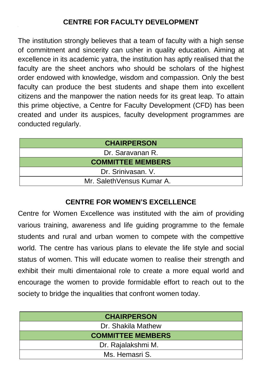The institution strongly believes that a team of faculty with a high sense of commitment and sincerity can usher in quality education. Aiming at excellence in its academic yatra, the institution has aptly realised that the faculty are the sheet anchors who should be scholars of the highest order endowed with knowledge, wisdom and compassion. Only the best faculty can produce the best students and shape them into excellent citizens and the manpower the nation needs for its great leap. To attain this prime objective, a Centre for Faculty Development (CFD) has been created and under its auspices, faculty development programmes are conducted regularly.

| <b>CHAIRPERSON</b>         |
|----------------------------|
| Dr. Saravanan R.           |
| <b>COMMITTEE MEMBERS</b>   |
| Dr. Srinivasan. V.         |
| Mr. Saleth Vensus Kumar A. |

### **CENTRE FOR WOMEN'S EXCELLENCE**

Centre for Women Excellence was instituted with the aim of providing various training, awareness and life guiding programme to the female students and rural and urban women to compete with the compettive world. The centre has various plans to elevate the life style and social status of women. This will educate women to realise their strength and exhibit their multi dimentaional role to create a more equal world and encourage the women to provide formidable effort to reach out to the society to bridge the inqualities that confront women today.

| <b>CHAIRPERSON</b>       |
|--------------------------|
| Dr. Shakila Mathew       |
| <b>COMMITTEE MEMBERS</b> |
| Dr. Rajalakshmi M.       |
| Ms. Hemasri S.           |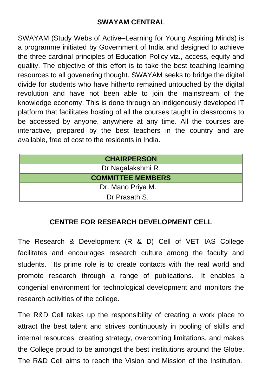### **SWAYAM CENTRAL**

SWAYAM (Study Webs of Active–Learning for Young Aspiring Minds) is a programme initiated by Government of India and designed to achieve the three cardinal principles of Education Policy viz., access, equity and quality. The objective of this effort is to take the best teaching learning resources to all govenering thought. SWAYAM seeks to bridge the digital divide for students who have hitherto remained untouched by the digital revolution and have not been able to join the mainstream of the knowledge economy. This is done through an indigenously developed IT platform that facilitates hosting of all the courses taught in classrooms to be accessed by anyone, anywhere at any time. All the courses are interactive, prepared by the best teachers in the country and are available, free of cost to the residents in India.

| <b>CHAIRPERSON</b>       |  |  |  |  |
|--------------------------|--|--|--|--|
| Dr.Nagalakshmi R.        |  |  |  |  |
| <b>COMMITTEE MEMBERS</b> |  |  |  |  |
| Dr. Mano Priya M.        |  |  |  |  |
| Dr.Prasath S.            |  |  |  |  |

# **CENTRE FOR RESEARCH DEVELOPMENT CELL**

The Research & Development (R & D) Cell of VET IAS College facilitates and encourages research culture among the faculty and students. Its prime role is to create contacts with the real world and promote research through a range of publications. It enables a congenial environment for technological development and monitors the research activities of the college.

The R&D Cell takes up the responsibility of creating a work place to attract the best talent and strives continuously in pooling of skills and internal resources, creating strategy, overcoming limitations, and makes the College proud to be amongst the best institutions around the Globe. The R&D Cell aims to reach the Vision and Mission of the Institution.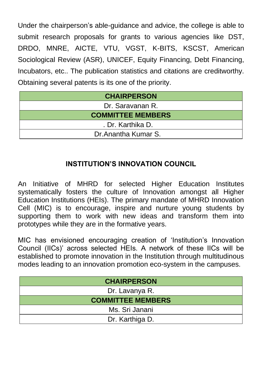Under the chairperson's able-guidance and advice, the college is able to submit research proposals for grants to various agencies like DST, DRDO, MNRE, AICTE, VTU, VGST, K-BITS, KSCST, American Sociological Review (ASR), UNICEF, Equity Financing, Debt Financing, Incubators, etc.. The publication statistics and citations are creditworthy. Obtaining several patents is its one of the priority.

| <b>CHAIRPERSON</b>       |  |  |  |  |
|--------------------------|--|--|--|--|
| Dr. Saravanan R.         |  |  |  |  |
| <b>COMMITTEE MEMBERS</b> |  |  |  |  |
| . Dr. Karthika D.        |  |  |  |  |
| Dr. Anantha Kumar S.     |  |  |  |  |

# **INSTITUTION'S INNOVATION COUNCIL**

An Initiative of MHRD for selected Higher Education Institutes systematically fosters the culture of Innovation amongst all Higher Education Institutions (HEIs). The primary mandate of MHRD Innovation Cell (MIC) is to encourage, inspire and nurture young students by supporting them to work with new ideas and transform them into prototypes while they are in the formative years.

MIC has envisioned encouraging creation of 'Institution's Innovation Council (IICs)' across selected HEIs. A network of these IICs will be established to promote innovation in the Institution through multitudinous modes leading to an innovation promotion eco-system in the campuses.

| <b>CHAIRPERSON</b>       |  |  |  |  |
|--------------------------|--|--|--|--|
| Dr. Lavanya R.           |  |  |  |  |
| <b>COMMITTEE MEMBERS</b> |  |  |  |  |
| Ms. Sri Janani           |  |  |  |  |
| Dr. Karthiga D.          |  |  |  |  |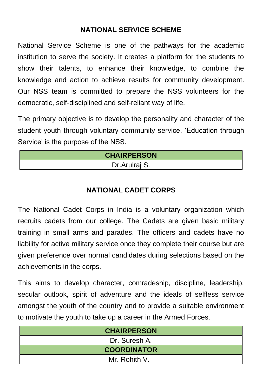# **NATIONAL SERVICE SCHEME**

National Service Scheme is one of the pathways for the academic institution to serve the society. It creates a platform for the students to show their talents, to enhance their knowledge, to combine the knowledge and action to achieve results for community development. Our NSS team is committed to prepare the NSS volunteers for the democratic, self-disciplined and self-reliant way of life.

The primary objective is to develop the personality and character of the student youth through voluntary community service. 'Education through Service' is the purpose of the NSS.

| <b>CHAIRPERSON</b> |
|--------------------|
| Dr. Arulraj S.     |

### **NATIONAL CADET CORPS**

The National Cadet Corps in India is a voluntary organization which recruits cadets from our college. The Cadets are given basic military training in small arms and parades. The officers and cadets have no liability for active military service once they complete their course but are given preference over normal candidates during selections based on the achievements in the corps.

This aims to develop character, comradeship, discipline, leadership, secular outlook, spirit of adventure and the ideals of selfless service amongst the youth of the country and to provide a suitable environment to motivate the youth to take up a career in the Armed Forces.

| <b>CHAIRPERSON</b> |
|--------------------|
| Dr. Suresh A.      |
| <b>COORDINATOR</b> |
| Mr. Rohith V.      |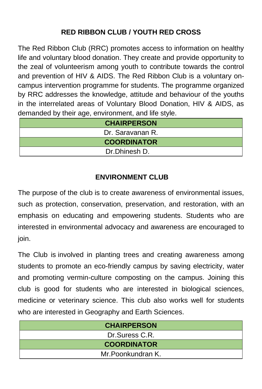# **RED RIBBON CLUB / YOUTH RED CROSS**

The Red Ribbon Club (RRC) promotes access to information on healthy life and voluntary blood donation. They create and provide opportunity to the zeal of volunteerism among youth to contribute towards the control and prevention of HIV & AIDS. The Red Ribbon Club is a voluntary oncampus intervention programme for students. The programme organized by RRC addresses the knowledge, attitude and behaviour of the youths in the interrelated areas of Voluntary Blood Donation, HIV & AIDS, as demanded by their age, environment, and life style.

| <b>CHAIRPERSON</b> |
|--------------------|
| Dr. Saravanan R.   |
| <b>COORDINATOR</b> |
| Dr.Dhinesh D.      |

# **ENVIRONMENT CLUB**

The purpose of the club is to create awareness of environmental issues, such as protection, conservation, preservation, and restoration, with an emphasis on educating and empowering students. Students who are interested in environmental advocacy and awareness are encouraged to join.

The Club is involved in planting trees and creating awareness among students to promote an eco-friendly campus by saving electricity, water and promoting vermin-culture composting on the campus. Joining this club is good for students who are interested in biological sciences, medicine or veterinary science. This club also works well for students who are interested in Geography and Earth Sciences.

| <b>CHAIRPERSON</b> |
|--------------------|
| Dr.Suress C.R.     |
| <b>COORDINATOR</b> |
| Mr. Poonkundran K. |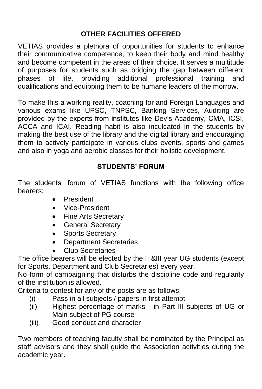# **OTHER FACILITIES OFFERED**

VETIAS provides a plethora of opportunities for students to enhance their communicative competence, to keep their body and mind healthy and become competent in the areas of their choice. It serves a multitude of purposes for students such as bridging the gap between different phases of life, providing additional professional training and qualifications and equipping them to be humane leaders of the morrow.

To make this a working reality, coaching for and Foreign Languages and various exams like UPSC, TNPSC, Banking Services, Auditing are provided by the experts from institutes like Dev's Academy, CMA, ICSI, ACCA and ICAI. Reading habit is also inculcated in the students by making the best use of the library and the digital library and encouraging them to actively participate in various clubs events, sports and games and also in yoga and aerobic classes for their holistic development.

### **STUDENTS' FORUM**

The students' forum of VETIAS functions with the following office bearers:

- President
- Vice-President
- Fine Arts Secretary
- General Secretary
- Sports Secretary
- Department Secretaries
- Club Secretaries

The office bearers will be elected by the II &III year UG students (except for Sports, Department and Club Secretaries) every year.

No form of campaigning that disturbs the discipline code and regularity of the institution is allowed.

Criteria to contest for any of the posts are as follows:

- (i) Pass in all subjects / papers in first attempt
- (ii) Highest percentage of marks in Part III subjects of UG or Main subject of PG course
- (iii) Good conduct and character

Two members of teaching faculty shall be nominated by the Principal as staff advisors and they shall guide the Association activities during the academic year.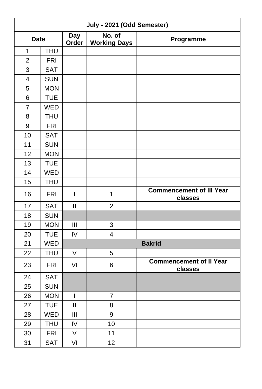| July - 2021 (Odd Semester) |            |                     |                               |                                            |
|----------------------------|------------|---------------------|-------------------------------|--------------------------------------------|
| <b>Date</b>                |            | <b>Day</b><br>Order | No. of<br><b>Working Days</b> | Programme                                  |
| 1                          | <b>THU</b> |                     |                               |                                            |
| $\overline{2}$             | <b>FRI</b> |                     |                               |                                            |
| 3                          | <b>SAT</b> |                     |                               |                                            |
| $\overline{4}$             | <b>SUN</b> |                     |                               |                                            |
| 5                          | <b>MON</b> |                     |                               |                                            |
| 6                          | <b>TUE</b> |                     |                               |                                            |
| $\overline{7}$             | <b>WED</b> |                     |                               |                                            |
| 8                          | <b>THU</b> |                     |                               |                                            |
| 9                          | <b>FRI</b> |                     |                               |                                            |
| 10                         | <b>SAT</b> |                     |                               |                                            |
| 11                         | <b>SUN</b> |                     |                               |                                            |
| 12                         | <b>MON</b> |                     |                               |                                            |
| 13                         | <b>TUE</b> |                     |                               |                                            |
| 14                         | <b>WED</b> |                     |                               |                                            |
| 15                         | <b>THU</b> |                     |                               |                                            |
| 16                         | <b>FRI</b> | I                   | 1                             | <b>Commencement of III Year</b><br>classes |
| 17                         | <b>SAT</b> | Ш                   | $\overline{2}$                |                                            |
| 18                         | <b>SUN</b> |                     |                               |                                            |
| 19                         | <b>MON</b> | III                 | 3                             |                                            |
| 20                         | <b>TUE</b> | IV                  | 4                             |                                            |
| 21                         | <b>WED</b> |                     |                               | <b>Bakrid</b>                              |
| 22                         | <b>THU</b> | V                   | 5                             |                                            |
| 23                         | <b>FRI</b> | VI                  | 6                             | <b>Commencement of II Year</b><br>classes  |
| 24                         | <b>SAT</b> |                     |                               |                                            |
| 25                         | <b>SUN</b> |                     |                               |                                            |
| 26                         | <b>MON</b> | I                   | 7                             |                                            |
| 27                         | <b>TUE</b> | $\mathbf{I}$        | 8                             |                                            |
| 28                         | <b>WED</b> | III                 | 9                             |                                            |
| 29                         | <b>THU</b> | IV                  | 10                            |                                            |
| 30                         | <b>FRI</b> | V                   | 11                            |                                            |
| 31                         | <b>SAT</b> | VI                  | 12                            |                                            |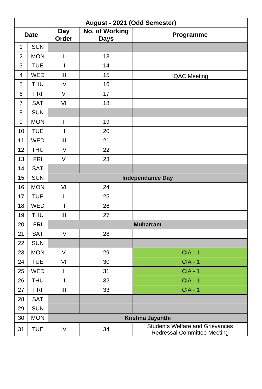|                | August - 2021 (Odd Semester) |                                                                                                                                                                                                                                                                                                                                                                                  |                                      |                                                                              |  |  |
|----------------|------------------------------|----------------------------------------------------------------------------------------------------------------------------------------------------------------------------------------------------------------------------------------------------------------------------------------------------------------------------------------------------------------------------------|--------------------------------------|------------------------------------------------------------------------------|--|--|
| <b>Date</b>    |                              | <b>Day</b><br>Order                                                                                                                                                                                                                                                                                                                                                              | <b>No. of Working</b><br><b>Days</b> | Programme                                                                    |  |  |
| $\mathbf{1}$   | <b>SUN</b>                   |                                                                                                                                                                                                                                                                                                                                                                                  |                                      |                                                                              |  |  |
| $\overline{c}$ | <b>MON</b>                   | I                                                                                                                                                                                                                                                                                                                                                                                | 13                                   |                                                                              |  |  |
| 3              | <b>TUE</b>                   | Ш                                                                                                                                                                                                                                                                                                                                                                                | 14                                   |                                                                              |  |  |
| 4              | <b>WED</b>                   | $\mathbf{III}$                                                                                                                                                                                                                                                                                                                                                                   | 15                                   | <b>IQAC Meeting</b>                                                          |  |  |
| 5              | <b>THU</b>                   | IV                                                                                                                                                                                                                                                                                                                                                                               | 16                                   |                                                                              |  |  |
| 6              | <b>FRI</b>                   | $\vee$                                                                                                                                                                                                                                                                                                                                                                           | 17                                   |                                                                              |  |  |
| $\overline{7}$ | <b>SAT</b>                   | VI                                                                                                                                                                                                                                                                                                                                                                               | 18                                   |                                                                              |  |  |
| 8              | <b>SUN</b>                   |                                                                                                                                                                                                                                                                                                                                                                                  |                                      |                                                                              |  |  |
| 9              | <b>MON</b>                   | $\begin{array}{c} \rule{0pt}{2.5ex} \rule{0pt}{2.5ex} \rule{0pt}{2.5ex} \rule{0pt}{2.5ex} \rule{0pt}{2.5ex} \rule{0pt}{2.5ex} \rule{0pt}{2.5ex} \rule{0pt}{2.5ex} \rule{0pt}{2.5ex} \rule{0pt}{2.5ex} \rule{0pt}{2.5ex} \rule{0pt}{2.5ex} \rule{0pt}{2.5ex} \rule{0pt}{2.5ex} \rule{0pt}{2.5ex} \rule{0pt}{2.5ex} \rule{0pt}{2.5ex} \rule{0pt}{2.5ex} \rule{0pt}{2.5ex} \rule{0$ | 19                                   |                                                                              |  |  |
| 10             | <b>TUE</b>                   | $\mathbf{II}$                                                                                                                                                                                                                                                                                                                                                                    | 20                                   |                                                                              |  |  |
| 11             | <b>WED</b>                   | III                                                                                                                                                                                                                                                                                                                                                                              | 21                                   |                                                                              |  |  |
| 12             | <b>THU</b>                   | IV                                                                                                                                                                                                                                                                                                                                                                               | 22                                   |                                                                              |  |  |
| 13             | <b>FRI</b>                   | $\sf V$                                                                                                                                                                                                                                                                                                                                                                          | 23                                   |                                                                              |  |  |
| 14             | <b>SAT</b>                   |                                                                                                                                                                                                                                                                                                                                                                                  |                                      |                                                                              |  |  |
| 15             | <b>SUN</b>                   |                                                                                                                                                                                                                                                                                                                                                                                  |                                      | <b>Independance Day</b>                                                      |  |  |
| 16             | <b>MON</b>                   | VI                                                                                                                                                                                                                                                                                                                                                                               | 24                                   |                                                                              |  |  |
| 17             | <b>TUE</b>                   | I                                                                                                                                                                                                                                                                                                                                                                                | 25                                   |                                                                              |  |  |
| 18             | WED                          | $\mathbf{I}$                                                                                                                                                                                                                                                                                                                                                                     | 26                                   |                                                                              |  |  |
| 19             | <b>THU</b>                   | $\mathbf{III}$                                                                                                                                                                                                                                                                                                                                                                   | 27                                   |                                                                              |  |  |
| 20             | <b>FRI</b>                   | <b>Muharram</b>                                                                                                                                                                                                                                                                                                                                                                  |                                      |                                                                              |  |  |
| 21             | <b>SAT</b>                   | IV                                                                                                                                                                                                                                                                                                                                                                               | 28                                   |                                                                              |  |  |
| 22             | <b>SUN</b>                   |                                                                                                                                                                                                                                                                                                                                                                                  |                                      |                                                                              |  |  |
| 23             | <b>MON</b>                   | $\vee$                                                                                                                                                                                                                                                                                                                                                                           | 29                                   | $CIA - 1$                                                                    |  |  |
| 24             | <b>TUE</b>                   | VI                                                                                                                                                                                                                                                                                                                                                                               | 30                                   | $CIA - 1$                                                                    |  |  |
| 25             | <b>WED</b>                   | $\mathsf{I}$                                                                                                                                                                                                                                                                                                                                                                     | 31                                   | $CIA - 1$                                                                    |  |  |
| 26             | <b>THU</b>                   | $\mathbf{I}$                                                                                                                                                                                                                                                                                                                                                                     | 32                                   | $CIA - 1$                                                                    |  |  |
| 27             | <b>FRI</b>                   | $\mathbf{III}$                                                                                                                                                                                                                                                                                                                                                                   | 33                                   | $CIA - 1$                                                                    |  |  |
| 28             | <b>SAT</b>                   |                                                                                                                                                                                                                                                                                                                                                                                  |                                      |                                                                              |  |  |
| 29             | <b>SUN</b>                   |                                                                                                                                                                                                                                                                                                                                                                                  |                                      |                                                                              |  |  |
| 30             | <b>MON</b>                   | Krishna Jayanthi                                                                                                                                                                                                                                                                                                                                                                 |                                      |                                                                              |  |  |
| 31             | <b>TUE</b>                   | IV                                                                                                                                                                                                                                                                                                                                                                               | 34                                   | <b>Students Welfare and Grievances</b><br><b>Redressal Committee Meeting</b> |  |  |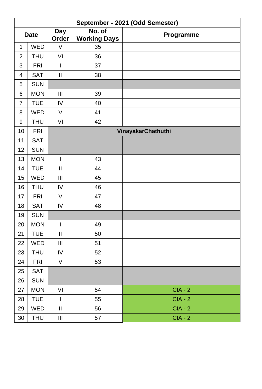|                          | September - 2021 (Odd Semester) |                            |                                                     |                    |  |  |  |  |
|--------------------------|---------------------------------|----------------------------|-----------------------------------------------------|--------------------|--|--|--|--|
|                          | <b>Date</b>                     | Day<br>Order               | $\overline{\mathsf{No.}}$ of<br><b>Working Days</b> | Programme          |  |  |  |  |
| $\mathbf{1}$             | <b>WED</b>                      | V                          | 35                                                  |                    |  |  |  |  |
| $\mathbf 2$              | <b>THU</b>                      | VI                         | 36                                                  |                    |  |  |  |  |
| 3                        | <b>FRI</b>                      | $\mathbf{I}$               | 37                                                  |                    |  |  |  |  |
| 4                        | <b>SAT</b>                      | $\ensuremath{\mathsf{II}}$ | 38                                                  |                    |  |  |  |  |
| 5                        | <b>SUN</b>                      |                            |                                                     |                    |  |  |  |  |
| 6                        | <b>MON</b>                      | Ш                          | 39                                                  |                    |  |  |  |  |
| $\overline{\mathcal{I}}$ | <b>TUE</b>                      | IV                         | 40                                                  |                    |  |  |  |  |
| 8                        | WED                             | V                          | 41                                                  |                    |  |  |  |  |
| 9                        | <b>THU</b>                      | VI                         | 42                                                  |                    |  |  |  |  |
| 10                       | <b>FRI</b>                      |                            |                                                     | VinayakarChathuthi |  |  |  |  |
| 11                       | <b>SAT</b>                      |                            |                                                     |                    |  |  |  |  |
| 12                       | <b>SUN</b>                      |                            |                                                     |                    |  |  |  |  |
| 13                       | <b>MON</b>                      | $\overline{1}$             | 43                                                  |                    |  |  |  |  |
| 14                       | <b>TUE</b>                      | $\mathbf{II}$              | 44                                                  |                    |  |  |  |  |
| 15                       | WED                             | $\mathbf{III}$             | 45                                                  |                    |  |  |  |  |
| 16                       | <b>THU</b>                      | IV                         | 46                                                  |                    |  |  |  |  |
| 17                       | <b>FRI</b>                      | V                          | 47                                                  |                    |  |  |  |  |
| 18                       | <b>SAT</b>                      | IV                         | 48                                                  |                    |  |  |  |  |
| 19                       | <b>SUN</b>                      |                            |                                                     |                    |  |  |  |  |
| 20                       | <b>MON</b>                      | $\overline{1}$             | 49                                                  |                    |  |  |  |  |
| 21                       | <b>TUE</b>                      | $\mathbf{II}$              | 50                                                  |                    |  |  |  |  |
| 22                       | WED                             | $\mathbf{III}$             | 51                                                  |                    |  |  |  |  |
| 23                       | <b>THU</b>                      | IV                         | 52                                                  |                    |  |  |  |  |
| 24                       | <b>FRI</b>                      | $\vee$                     | 53                                                  |                    |  |  |  |  |
| 25                       | <b>SAT</b>                      |                            |                                                     |                    |  |  |  |  |
| 26                       | <b>SUN</b>                      |                            |                                                     |                    |  |  |  |  |
| 27                       | <b>MON</b>                      | VI                         | 54                                                  | $CIA - 2$          |  |  |  |  |
| 28                       | <b>TUE</b>                      | $\mathsf{I}$               | 55                                                  | $CIA - 2$          |  |  |  |  |
| 29                       | WED                             | $\ensuremath{\mathsf{II}}$ | 56                                                  | $CIA - 2$          |  |  |  |  |
| 30                       | <b>THU</b>                      | Ш                          | 57                                                  | $CIA - 2$          |  |  |  |  |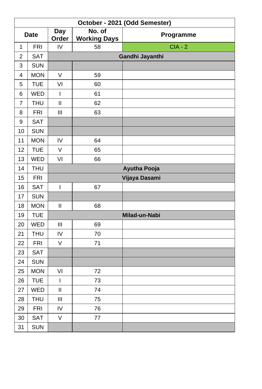|                | October - 2021 (Odd Semester) |                |                               |                     |  |  |  |
|----------------|-------------------------------|----------------|-------------------------------|---------------------|--|--|--|
| <b>Date</b>    |                               | Day<br>Order   | No. of<br><b>Working Days</b> | Programme           |  |  |  |
| 1              | <b>FRI</b>                    | IV             | 58                            | $CIA - 2$           |  |  |  |
| $\overline{c}$ | <b>SAT</b>                    |                |                               | Gandhi Jayanthi     |  |  |  |
| 3              | <b>SUN</b>                    |                |                               |                     |  |  |  |
| 4              | <b>MON</b>                    | $\vee$         | 59                            |                     |  |  |  |
| 5              | <b>TUE</b>                    | VI             | 60                            |                     |  |  |  |
| 6              | WED                           | I              | 61                            |                     |  |  |  |
| $\overline{7}$ | <b>THU</b>                    | $\sf II$       | 62                            |                     |  |  |  |
| 8              | <b>FRI</b>                    | III            | 63                            |                     |  |  |  |
| 9              | <b>SAT</b>                    |                |                               |                     |  |  |  |
| 10             | <b>SUN</b>                    |                |                               |                     |  |  |  |
| 11             | <b>MON</b>                    | IV             | 64                            |                     |  |  |  |
| 12             | <b>TUE</b>                    | $\vee$         | 65                            |                     |  |  |  |
| 13             | WED                           | VI             | 66                            |                     |  |  |  |
| 14             | <b>THU</b>                    |                |                               | <b>Ayutha Pooja</b> |  |  |  |
| 15             | <b>FRI</b>                    |                |                               | Vijaya Dasami       |  |  |  |
| 16             | <b>SAT</b>                    | T              | 67                            |                     |  |  |  |
| 17             | <b>SUN</b>                    |                |                               |                     |  |  |  |
| 18             | <b>MON</b>                    | $\sf II$       | 68                            |                     |  |  |  |
| 19             | <b>TUE</b>                    |                |                               | Milad-un-Nabi       |  |  |  |
| 20             | <b>WED</b>                    | Ш              | 69                            |                     |  |  |  |
| 21             | <b>THU</b>                    | IV             | 70                            |                     |  |  |  |
| 22             | <b>FRI</b>                    | $\vee$         | 71                            |                     |  |  |  |
| 23             | <b>SAT</b>                    |                |                               |                     |  |  |  |
| 24             | <b>SUN</b>                    |                |                               |                     |  |  |  |
| 25             | <b>MON</b>                    | VI             | 72                            |                     |  |  |  |
| 26             | <b>TUE</b>                    | $\overline{1}$ | 73                            |                     |  |  |  |
| 27             | WED                           | $\mathsf{II}%$ | 74                            |                     |  |  |  |
| 28             | <b>THU</b>                    | Ш              | 75                            |                     |  |  |  |
| 29             | <b>FRI</b>                    | IV             | 76                            |                     |  |  |  |
| 30             | <b>SAT</b>                    | $\mathsf V$    | 77                            |                     |  |  |  |
| 31             | <b>SUN</b>                    |                |                               |                     |  |  |  |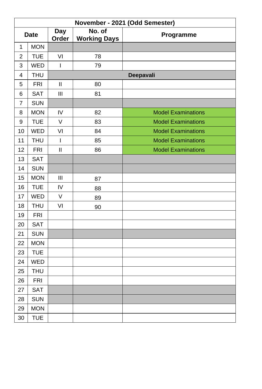|                | November - 2021 (Odd Semester) |                |                               |                           |  |  |  |
|----------------|--------------------------------|----------------|-------------------------------|---------------------------|--|--|--|
| <b>Date</b>    |                                | Day<br>Order   | No. of<br><b>Working Days</b> | Programme                 |  |  |  |
| 1              | <b>MON</b>                     |                |                               |                           |  |  |  |
| $\overline{c}$ | <b>TUE</b>                     | VI             | 78                            |                           |  |  |  |
| 3              | WED                            | $\overline{1}$ | 79                            |                           |  |  |  |
| 4              | <b>THU</b>                     |                |                               | Deepavali                 |  |  |  |
| 5              | <b>FRI</b>                     | $\mathbf{I}$   | 80                            |                           |  |  |  |
| 6              | <b>SAT</b>                     | Ш              | 81                            |                           |  |  |  |
| $\overline{7}$ | <b>SUN</b>                     |                |                               |                           |  |  |  |
| 8              | <b>MON</b>                     | IV             | 82                            | <b>Model Examinations</b> |  |  |  |
| 9              | <b>TUE</b>                     | $\vee$         | 83                            | <b>Model Examinations</b> |  |  |  |
| 10             | <b>WED</b>                     | VI             | 84                            | <b>Model Examinations</b> |  |  |  |
| 11             | <b>THU</b>                     | $\mathsf{I}$   | 85                            | <b>Model Examinations</b> |  |  |  |
| 12             | <b>FRI</b>                     | $\mathbf{II}$  | 86                            | <b>Model Examinations</b> |  |  |  |
| 13             | <b>SAT</b>                     |                |                               |                           |  |  |  |
| 14             | <b>SUN</b>                     |                |                               |                           |  |  |  |
| 15             | <b>MON</b>                     | Ш              | 87                            |                           |  |  |  |
| 16             | <b>TUE</b>                     | IV             | 88                            |                           |  |  |  |
| 17             | WED                            | V              | 89                            |                           |  |  |  |
| 18             | <b>THU</b>                     | VI             | 90                            |                           |  |  |  |
| 19             | <b>FRI</b>                     |                |                               |                           |  |  |  |
| 20             | <b>SAT</b>                     |                |                               |                           |  |  |  |
| 21             | <b>SUN</b>                     |                |                               |                           |  |  |  |
| 22             | <b>MON</b>                     |                |                               |                           |  |  |  |
| 23             | <b>TUE</b>                     |                |                               |                           |  |  |  |
| 24             | WED                            |                |                               |                           |  |  |  |
| 25             | <b>THU</b>                     |                |                               |                           |  |  |  |
| 26             | <b>FRI</b>                     |                |                               |                           |  |  |  |
| 27             | <b>SAT</b>                     |                |                               |                           |  |  |  |
| 28             | <b>SUN</b>                     |                |                               |                           |  |  |  |
| 29             | <b>MON</b>                     |                |                               |                           |  |  |  |
| 30             | <b>TUE</b>                     |                |                               |                           |  |  |  |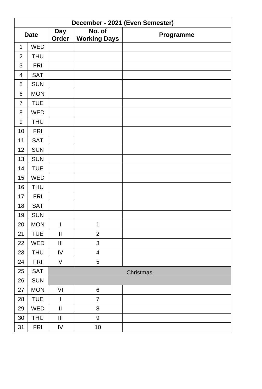|                         | December - 2021 (Even Semester) |                            |                               |           |  |  |  |  |  |
|-------------------------|---------------------------------|----------------------------|-------------------------------|-----------|--|--|--|--|--|
|                         | <b>Date</b>                     | <b>Day</b><br>Order        | No. of<br><b>Working Days</b> | Programme |  |  |  |  |  |
| $\mathbf 1$             | <b>WED</b>                      |                            |                               |           |  |  |  |  |  |
| $\overline{c}$          | <b>THU</b>                      |                            |                               |           |  |  |  |  |  |
| 3                       | <b>FRI</b>                      |                            |                               |           |  |  |  |  |  |
| $\overline{\mathbf{4}}$ | <b>SAT</b>                      |                            |                               |           |  |  |  |  |  |
| 5                       | <b>SUN</b>                      |                            |                               |           |  |  |  |  |  |
| 6                       | <b>MON</b>                      |                            |                               |           |  |  |  |  |  |
| $\overline{7}$          | <b>TUE</b>                      |                            |                               |           |  |  |  |  |  |
| 8                       | WED                             |                            |                               |           |  |  |  |  |  |
| 9                       | <b>THU</b>                      |                            |                               |           |  |  |  |  |  |
| 10                      | <b>FRI</b>                      |                            |                               |           |  |  |  |  |  |
| 11                      | <b>SAT</b>                      |                            |                               |           |  |  |  |  |  |
| 12                      | SUN                             |                            |                               |           |  |  |  |  |  |
| 13                      | <b>SUN</b>                      |                            |                               |           |  |  |  |  |  |
| 14                      | <b>TUE</b>                      |                            |                               |           |  |  |  |  |  |
| 15                      | WED                             |                            |                               |           |  |  |  |  |  |
| 16                      | <b>THU</b>                      |                            |                               |           |  |  |  |  |  |
| 17                      | <b>FRI</b>                      |                            |                               |           |  |  |  |  |  |
| 18                      | SAT                             |                            |                               |           |  |  |  |  |  |
| 19                      | <b>SUN</b>                      |                            |                               |           |  |  |  |  |  |
| 20                      | <b>MON</b>                      | I                          | $\mathbf{1}$                  |           |  |  |  |  |  |
| 21                      | <b>TUE</b>                      | $\mathsf{II}$              | $\overline{c}$                |           |  |  |  |  |  |
| 22                      | WED                             | Ш                          | 3                             |           |  |  |  |  |  |
| 23                      | <b>THU</b>                      | IV                         | $\overline{\mathbf{4}}$       |           |  |  |  |  |  |
| 24                      | <b>FRI</b>                      | V                          | 5                             |           |  |  |  |  |  |
| 25                      | SAT                             |                            |                               | Christmas |  |  |  |  |  |
| 26                      | <b>SUN</b>                      |                            |                               |           |  |  |  |  |  |
| 27                      | <b>MON</b>                      | VI                         | 6                             |           |  |  |  |  |  |
| 28                      | <b>TUE</b>                      | I                          | $\overline{7}$                |           |  |  |  |  |  |
| 29                      | WED                             | $\ensuremath{\mathsf{II}}$ | 8                             |           |  |  |  |  |  |
| 30                      | <b>THU</b>                      | $\mathbf{III}$             | 9                             |           |  |  |  |  |  |
| 31                      | <b>FRI</b>                      | IV                         | 10                            |           |  |  |  |  |  |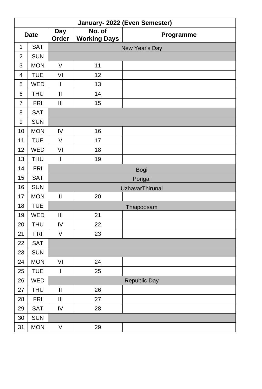|                | January- 2022 (Even Semester) |                |                               |                        |  |  |  |  |  |
|----------------|-------------------------------|----------------|-------------------------------|------------------------|--|--|--|--|--|
|                | <b>Date</b>                   | Day<br>Order   | No. of<br><b>Working Days</b> | Programme              |  |  |  |  |  |
| $\mathbf{1}$   | <b>SAT</b>                    | New Year's Day |                               |                        |  |  |  |  |  |
| $\overline{c}$ | <b>SUN</b>                    |                |                               |                        |  |  |  |  |  |
| 3              | <b>MON</b>                    | V              | 11                            |                        |  |  |  |  |  |
| $\overline{4}$ | <b>TUE</b>                    | VI             | 12                            |                        |  |  |  |  |  |
| 5              | WED                           | $\mathsf{I}$   | 13                            |                        |  |  |  |  |  |
| 6              | <b>THU</b>                    | $\mathbf{II}$  | 14                            |                        |  |  |  |  |  |
| $\overline{7}$ | <b>FRI</b>                    | Ш              | 15                            |                        |  |  |  |  |  |
| 8              | SAT                           |                |                               |                        |  |  |  |  |  |
| 9              | <b>SUN</b>                    |                |                               |                        |  |  |  |  |  |
| 10             | <b>MON</b>                    | IV             | 16                            |                        |  |  |  |  |  |
| 11             | <b>TUE</b>                    | $\vee$         | 17                            |                        |  |  |  |  |  |
| 12             | <b>WED</b>                    | VI             | 18                            |                        |  |  |  |  |  |
| 13             | <b>THU</b>                    | $\mathsf{I}$   | 19                            |                        |  |  |  |  |  |
| 14             | <b>FRI</b>                    |                | Bogi                          |                        |  |  |  |  |  |
| 15             | <b>SAT</b>                    | Pongal         |                               |                        |  |  |  |  |  |
| 16             | <b>SUN</b>                    |                |                               | <b>UzhavarThirunal</b> |  |  |  |  |  |
| 17             | <b>MON</b>                    | $\mathbf H$    | 20                            |                        |  |  |  |  |  |
| 18             | <b>TUE</b>                    |                |                               | Thaipoosam             |  |  |  |  |  |
| 19             | WED                           | Ш              | 21                            |                        |  |  |  |  |  |
| 20             | <b>THU</b>                    | IV             | 22                            |                        |  |  |  |  |  |
| 21             | <b>FRI</b>                    | V              | 23                            |                        |  |  |  |  |  |
| 22             | <b>SAT</b>                    |                |                               |                        |  |  |  |  |  |
| 23             | <b>SUN</b>                    |                |                               |                        |  |  |  |  |  |
| 24             | <b>MON</b>                    | VI             | 24                            |                        |  |  |  |  |  |
| 25             | <b>TUE</b>                    | I              | 25                            |                        |  |  |  |  |  |
| 26             | <b>WED</b>                    |                |                               | Republic Day           |  |  |  |  |  |
| 27             | <b>THU</b>                    | $\mathsf{II}$  | 26                            |                        |  |  |  |  |  |
| 28             | <b>FRI</b>                    | $\mathbf{III}$ | 27                            |                        |  |  |  |  |  |
| 29             | <b>SAT</b>                    | ${\sf IV}$     | 28                            |                        |  |  |  |  |  |
| 30             | <b>SUN</b>                    |                |                               |                        |  |  |  |  |  |
| 31             | <b>MON</b>                    | $\vee$         | 29                            |                        |  |  |  |  |  |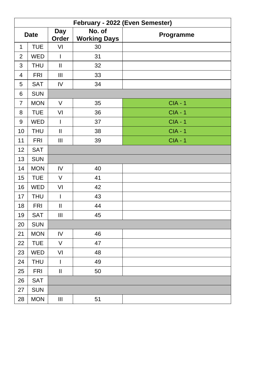|                         | February - 2022 (Even Semester) |                     |                               |                |  |  |  |  |
|-------------------------|---------------------------------|---------------------|-------------------------------|----------------|--|--|--|--|
|                         | <b>Date</b>                     | <b>Day</b><br>Order | No. of<br><b>Working Days</b> | Programme      |  |  |  |  |
| 1                       | <b>TUE</b>                      | VI                  | 30                            |                |  |  |  |  |
| $\overline{c}$          | WED                             | I                   | 31                            |                |  |  |  |  |
| 3                       | <b>THU</b>                      | $\rm H$             | 32                            |                |  |  |  |  |
| $\overline{\mathbf{4}}$ | <b>FRI</b>                      | $\mathbf{III}$      | 33                            |                |  |  |  |  |
| 5                       | SAT                             | IV                  | 34                            |                |  |  |  |  |
| 6                       | <b>SUN</b>                      |                     |                               |                |  |  |  |  |
| $\overline{7}$          | <b>MON</b>                      | V                   | 35                            | <b>CIA - 1</b> |  |  |  |  |
| 8                       | <b>TUE</b>                      | VI                  | 36                            | $CIA - 1$      |  |  |  |  |
| 9                       | <b>WED</b>                      | $\mathsf{I}$        | 37                            | $CIA - 1$      |  |  |  |  |
| 10                      | <b>THU</b>                      | $\sf II$            | 38                            | $CIA - 1$      |  |  |  |  |
| 11                      | <b>FRI</b>                      | Ш                   | 39                            | $CIA - 1$      |  |  |  |  |
| 12                      | SAT                             |                     |                               |                |  |  |  |  |
| 13                      | <b>SUN</b>                      |                     |                               |                |  |  |  |  |
| 14                      | <b>MON</b>                      | IV                  | 40                            |                |  |  |  |  |
| 15                      | <b>TUE</b>                      | $\vee$              | 41                            |                |  |  |  |  |
| 16                      | WED                             | VI                  | 42                            |                |  |  |  |  |
| 17                      | <b>THU</b>                      | $\mathsf{I}$        | 43                            |                |  |  |  |  |
| 18                      | <b>FRI</b>                      | $\rm H$             | 44                            |                |  |  |  |  |
| 19                      | <b>SAT</b>                      | Ш                   | 45                            |                |  |  |  |  |
| 20                      | <b>SUN</b>                      |                     |                               |                |  |  |  |  |
| 21                      | <b>MON</b>                      | IV                  | 46                            |                |  |  |  |  |
| 22                      | <b>TUE</b>                      | $\vee$              | 47                            |                |  |  |  |  |
| 23                      | WED                             | VI                  | 48                            |                |  |  |  |  |
| 24                      | <b>THU</b>                      | I                   | 49                            |                |  |  |  |  |
| 25                      | <b>FRI</b>                      | Ш                   | 50                            |                |  |  |  |  |
| 26                      | <b>SAT</b>                      |                     |                               |                |  |  |  |  |
| 27                      | <b>SUN</b>                      |                     |                               |                |  |  |  |  |
| 28                      | <b>MON</b>                      | $\mathsf{III}$      | 51                            |                |  |  |  |  |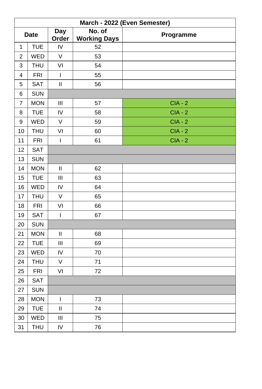|                         | March - 2022 (Even Semester) |                                                                                                                                                                                                                                                                                                                                                                                  |                               |           |  |  |  |  |
|-------------------------|------------------------------|----------------------------------------------------------------------------------------------------------------------------------------------------------------------------------------------------------------------------------------------------------------------------------------------------------------------------------------------------------------------------------|-------------------------------|-----------|--|--|--|--|
|                         | <b>Date</b>                  | Day<br>Order                                                                                                                                                                                                                                                                                                                                                                     | No. of<br><b>Working Days</b> | Programme |  |  |  |  |
| $\mathbf 1$             | <b>TUE</b>                   | IV                                                                                                                                                                                                                                                                                                                                                                               | 52                            |           |  |  |  |  |
| $\overline{c}$          | WED                          | V                                                                                                                                                                                                                                                                                                                                                                                | 53                            |           |  |  |  |  |
| 3                       | <b>THU</b>                   | VI                                                                                                                                                                                                                                                                                                                                                                               | 54                            |           |  |  |  |  |
| $\overline{\mathbf{4}}$ | <b>FRI</b>                   | $\mathsf{I}$                                                                                                                                                                                                                                                                                                                                                                     | 55                            |           |  |  |  |  |
| 5                       | SAT                          | $\mathbf{II}$                                                                                                                                                                                                                                                                                                                                                                    | 56                            |           |  |  |  |  |
| 6                       | <b>SUN</b>                   |                                                                                                                                                                                                                                                                                                                                                                                  |                               |           |  |  |  |  |
| $\overline{7}$          | <b>MON</b>                   | $\mathbf{III}$                                                                                                                                                                                                                                                                                                                                                                   | 57                            | $CIA - 2$ |  |  |  |  |
| 8                       | <b>TUE</b>                   | IV                                                                                                                                                                                                                                                                                                                                                                               | 58                            | $CIA - 2$ |  |  |  |  |
| 9                       | WED                          | V                                                                                                                                                                                                                                                                                                                                                                                | 59                            | $CIA - 2$ |  |  |  |  |
| 10                      | <b>THU</b>                   | VI                                                                                                                                                                                                                                                                                                                                                                               | 60                            | $CIA - 2$ |  |  |  |  |
| 11                      | <b>FRI</b>                   | $\mathsf{I}$                                                                                                                                                                                                                                                                                                                                                                     | 61                            | $CIA - 2$ |  |  |  |  |
| 12                      | <b>SAT</b>                   |                                                                                                                                                                                                                                                                                                                                                                                  |                               |           |  |  |  |  |
| 13                      | <b>SUN</b>                   |                                                                                                                                                                                                                                                                                                                                                                                  |                               |           |  |  |  |  |
| 14                      | <b>MON</b>                   | $\sf II$                                                                                                                                                                                                                                                                                                                                                                         | 62                            |           |  |  |  |  |
| 15                      | <b>TUE</b>                   | $\mathbf{III}$                                                                                                                                                                                                                                                                                                                                                                   | 63                            |           |  |  |  |  |
| 16                      | WED                          | IV                                                                                                                                                                                                                                                                                                                                                                               | 64                            |           |  |  |  |  |
| 17                      | <b>THU</b>                   | $\vee$                                                                                                                                                                                                                                                                                                                                                                           | 65                            |           |  |  |  |  |
| 18                      | <b>FRI</b>                   | VI                                                                                                                                                                                                                                                                                                                                                                               | 66                            |           |  |  |  |  |
| 19                      | SAT                          | $\mathsf{I}$                                                                                                                                                                                                                                                                                                                                                                     | 67                            |           |  |  |  |  |
| 20                      | <b>SUN</b>                   |                                                                                                                                                                                                                                                                                                                                                                                  |                               |           |  |  |  |  |
| 21                      | <b>MON</b>                   | $\mathbf{II}$                                                                                                                                                                                                                                                                                                                                                                    | 68                            |           |  |  |  |  |
| 22                      | <b>TUE</b>                   | Ш                                                                                                                                                                                                                                                                                                                                                                                | 69                            |           |  |  |  |  |
| 23                      | WED                          | IV                                                                                                                                                                                                                                                                                                                                                                               | 70                            |           |  |  |  |  |
| 24                      | <b>THU</b>                   | V                                                                                                                                                                                                                                                                                                                                                                                | 71                            |           |  |  |  |  |
| 25                      | <b>FRI</b>                   | VI                                                                                                                                                                                                                                                                                                                                                                               | 72                            |           |  |  |  |  |
| 26                      | SAT                          |                                                                                                                                                                                                                                                                                                                                                                                  |                               |           |  |  |  |  |
| 27                      | <b>SUN</b>                   |                                                                                                                                                                                                                                                                                                                                                                                  |                               |           |  |  |  |  |
| 28                      | <b>MON</b>                   | $\begin{array}{c} \rule{0pt}{2.5ex} \rule{0pt}{2.5ex} \rule{0pt}{2.5ex} \rule{0pt}{2.5ex} \rule{0pt}{2.5ex} \rule{0pt}{2.5ex} \rule{0pt}{2.5ex} \rule{0pt}{2.5ex} \rule{0pt}{2.5ex} \rule{0pt}{2.5ex} \rule{0pt}{2.5ex} \rule{0pt}{2.5ex} \rule{0pt}{2.5ex} \rule{0pt}{2.5ex} \rule{0pt}{2.5ex} \rule{0pt}{2.5ex} \rule{0pt}{2.5ex} \rule{0pt}{2.5ex} \rule{0pt}{2.5ex} \rule{0$ | 73                            |           |  |  |  |  |
| 29                      | <b>TUE</b>                   | $\mathbf{II}$                                                                                                                                                                                                                                                                                                                                                                    | 74                            |           |  |  |  |  |
| 30                      | WED                          | $\ensuremath{\mathsf{III}}\xspace$                                                                                                                                                                                                                                                                                                                                               | 75                            |           |  |  |  |  |
| 31                      | <b>THU</b>                   | IV                                                                                                                                                                                                                                                                                                                                                                               | 76                            |           |  |  |  |  |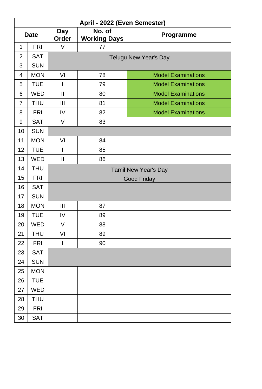|                  | April - 2022 (Even Semester) |                                                      |    |                           |  |  |  |  |  |
|------------------|------------------------------|------------------------------------------------------|----|---------------------------|--|--|--|--|--|
| <b>Date</b>      |                              | No. of<br><b>Day</b><br>Order<br><b>Working Days</b> |    | Programme                 |  |  |  |  |  |
| 1                | <b>FRI</b>                   | V                                                    | 77 |                           |  |  |  |  |  |
| $\overline{2}$   | <b>SAT</b>                   |                                                      |    | Telugu New Year's Day     |  |  |  |  |  |
| 3                | <b>SUN</b>                   |                                                      |    |                           |  |  |  |  |  |
| 4                | <b>MON</b>                   | VI                                                   | 78 | <b>Model Examinations</b> |  |  |  |  |  |
| 5                | <b>TUE</b>                   | $\overline{1}$                                       | 79 | <b>Model Examinations</b> |  |  |  |  |  |
| 6                | <b>WED</b>                   | Ш                                                    | 80 | <b>Model Examinations</b> |  |  |  |  |  |
| 7                | <b>THU</b>                   | Ш                                                    | 81 | <b>Model Examinations</b> |  |  |  |  |  |
| 8                | <b>FRI</b>                   | IV                                                   | 82 | <b>Model Examinations</b> |  |  |  |  |  |
| $\boldsymbol{9}$ | <b>SAT</b>                   | $\vee$                                               | 83 |                           |  |  |  |  |  |
| 10               | <b>SUN</b>                   |                                                      |    |                           |  |  |  |  |  |
| 11               | <b>MON</b>                   | VI                                                   | 84 |                           |  |  |  |  |  |
| 12               | <b>TUE</b>                   | I                                                    | 85 |                           |  |  |  |  |  |
| 13               | <b>WED</b>                   | Ш                                                    | 86 |                           |  |  |  |  |  |
| 14               | <b>THU</b>                   | Tamil New Year's Day                                 |    |                           |  |  |  |  |  |
| 15               | <b>FRI</b>                   | Good Friday                                          |    |                           |  |  |  |  |  |
| 16               | <b>SAT</b>                   |                                                      |    |                           |  |  |  |  |  |
| 17               | <b>SUN</b>                   |                                                      |    |                           |  |  |  |  |  |
| 18               | <b>MON</b>                   | Ш                                                    | 87 |                           |  |  |  |  |  |
| 19               | <b>TUE</b>                   | IV                                                   | 89 |                           |  |  |  |  |  |
| 20               | <b>WED</b>                   | $\vee$                                               | 88 |                           |  |  |  |  |  |
| 21               | THU                          | VI                                                   | 89 |                           |  |  |  |  |  |
| 22               | <b>FRI</b>                   | L                                                    | 90 |                           |  |  |  |  |  |
| 23               | SAT                          |                                                      |    |                           |  |  |  |  |  |
| 24               | <b>SUN</b>                   |                                                      |    |                           |  |  |  |  |  |
| 25               | <b>MON</b>                   |                                                      |    |                           |  |  |  |  |  |
| 26               | <b>TUE</b>                   |                                                      |    |                           |  |  |  |  |  |
| 27               | <b>WED</b>                   |                                                      |    |                           |  |  |  |  |  |
| 28               | THU                          |                                                      |    |                           |  |  |  |  |  |
| 29               | <b>FRI</b>                   |                                                      |    |                           |  |  |  |  |  |
| 30               | <b>SAT</b>                   |                                                      |    |                           |  |  |  |  |  |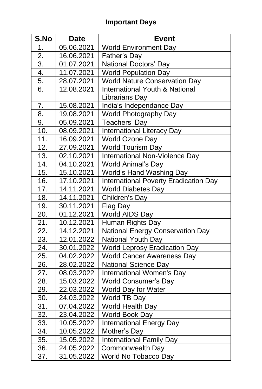# **Important Days**

| S.No             | <b>Date</b> | <b>Event</b>                            |
|------------------|-------------|-----------------------------------------|
| 1.               | 05.06.2021  | <b>World Environment Day</b>            |
| 2.               | 16.06.2021  | Father's Day                            |
| $\overline{3}$ . | 01.07.2021  | National Doctors' Day                   |
| 4.               | 11.07.2021  | <b>World Population Day</b>             |
| 5.               | 28.07.2021  | <b>World Nature Conservation Day</b>    |
| 6.               | 12.08.2021  | International Youth & National          |
|                  |             | Librarians Day                          |
| 7.               | 15.08.2021  | India's Independance Day                |
| 8.               | 19.08.2021  | World Photography Day                   |
| 9.               | 05.09.2021  | Teachers' Day                           |
| 10.              | 08.09.2021  | <b>International Literacy Day</b>       |
| 11.              | 16.09.2021  | World Ozone Day                         |
| 12.              | 27.09.2021  | World Tourism Day                       |
| 13.              | 02.10.2021  | International Non-Violence Day          |
| 14.              | 04.10.2021  | World Animal's Day                      |
| 15.              | 15.10.2021  | World's Hand Washing Day                |
| 16.              | 17.10.2021  | International Poverty Eradication Day   |
| 17.              | 14.11.2021  | <b>World Diabetes Day</b>               |
| 18.              | 14.11.2021  | Children's Day                          |
| 19.              | 30.11.2021  | Flag Day                                |
| 20.              | 01.12.2021  | World AIDS Day                          |
| 21.              | 10.12.2021  | Human Rights Day                        |
| 22.              | 14.12.2021  | <b>National Energy Conservation Day</b> |
| 23.              | 12.01.2022  | National Youth Day                      |
| 24.              | 30.01.2022  | <b>World Leprosy Eradication Day</b>    |
| 25.              | 04.02.2022  | World Cancer Awareness Day              |
| 26.              | 28.02.2022  | National Science Day                    |
| 27.              | 08.03.2022  | International Women's Day               |
| 28.              | 15.03.2022  | <b>World Consumer's Day</b>             |
| 29.              | 22.03.2022  | World Day for Water                     |
| 30.              | 24.03.2022  | World TB Day                            |
| 31.              | 07.04.2022  | World Health Day                        |
| 32.              | 23.04.2022  | World Book Day                          |
| 33.              | 10.05.2022  | <b>International Energy Day</b>         |
| 34.              | 10.05.2022  | Mother's Day                            |
| 35.              | 15.05.2022  | International Family Day                |
| 36.              | 24.05.2022  | Commonwealth Day                        |
| 37.              | 31.05.2022  | World No Tobacco Day                    |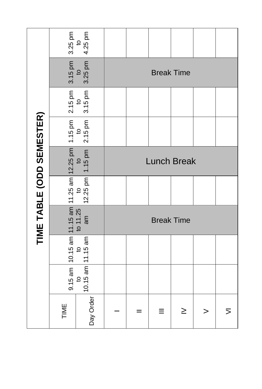|                           | 3.25 pm<br>4.25 pm<br>$\mathbf{S}$                                                                                                                                                                                                                                                                                                                        |  |                    |  |   |        |  |                |  |
|---------------------------|-----------------------------------------------------------------------------------------------------------------------------------------------------------------------------------------------------------------------------------------------------------------------------------------------------------------------------------------------------------|--|--------------------|--|---|--------|--|----------------|--|
|                           | 3.15 pm<br>3.25 pm<br>$\mathtt{Q}$                                                                                                                                                                                                                                                                                                                        |  | <b>Break Time</b>  |  |   |        |  |                |  |
|                           | $2.15 \text{ pm}$<br>3.15 pm                                                                                                                                                                                                                                                                                                                              |  |                    |  |   |        |  |                |  |
|                           | $2.15$ pm                                                                                                                                                                                                                                                                                                                                                 |  |                    |  |   |        |  |                |  |
|                           |                                                                                                                                                                                                                                                                                                                                                           |  | <b>Lunch Break</b> |  |   |        |  |                |  |
| TIME TABLE (ODD SEMESTER) |                                                                                                                                                                                                                                                                                                                                                           |  |                    |  |   |        |  |                |  |
|                           | 9.15 am $\begin{array}{ l } \hline 10.15$ am $\begin{array}{ l } \hline 11.15$ am $\hline 11.25$ am $\begin{array}{ l } \hline 10.25 & 10 \\ \hline 10 & 10 \\ \hline 10.15 & 10 \\ \hline 10.15 & 11.15 & 10 \\ \hline \end{array} \hline \end{array}$ am $\begin{array}{ l } \hline 12.25 & 10 \\ \hline 12.25 & 10 \\ \hline 11.15 & 10 \\ \hline 11.$ |  | <b>Break Time</b>  |  |   |        |  |                |  |
|                           | to to to to to to $10.15$ am                                                                                                                                                                                                                                                                                                                              |  |                    |  |   |        |  |                |  |
|                           |                                                                                                                                                                                                                                                                                                                                                           |  |                    |  |   |        |  |                |  |
|                           | Day Order<br>TIME                                                                                                                                                                                                                                                                                                                                         |  |                    |  | Ξ | $\geq$ |  | $\overline{5}$ |  |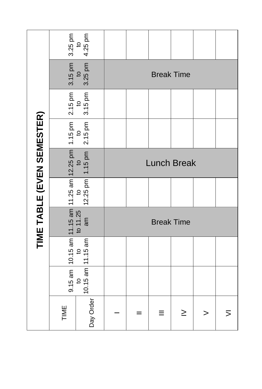|                            | 3.25 pm<br>4.25 pm<br>$\mathsf{S}$                                                                                                                                                                                     |                        |                    |  |   |        |  |   |
|----------------------------|------------------------------------------------------------------------------------------------------------------------------------------------------------------------------------------------------------------------|------------------------|--------------------|--|---|--------|--|---|
|                            | 3.15 pm<br>3.25 pm<br>$\mathtt{Q}$                                                                                                                                                                                     |                        | <b>Break Time</b>  |  |   |        |  |   |
|                            | $2.15$ pm<br>3.15 pm<br>$\mathtt{Q}$                                                                                                                                                                                   |                        |                    |  |   |        |  |   |
|                            | 2.15 pm                                                                                                                                                                                                                |                        |                    |  |   |        |  |   |
|                            | 1.15 pm                                                                                                                                                                                                                |                        | <b>Lunch Break</b> |  |   |        |  |   |
| TIME TABLE (EVEN SEMESTER) |                                                                                                                                                                                                                        | $12.25$ pm             |                    |  |   |        |  |   |
|                            | 9.15 am $\begin{vmatrix} 10.15 \text{ am} & 11.15 \text{ am} & 11.25 \text{ am} & 12.25 \text{ pm} & 1.15 \text{ pm} \\ \text{to} & \text{to} & \text{to} & 11.25 \\ 0 & \text{to} & 11.25 & 0 \end{vmatrix}$ to<br>am |                        | <b>Break Time</b>  |  |   |        |  |   |
|                            |                                                                                                                                                                                                                        |                        |                    |  |   |        |  |   |
|                            |                                                                                                                                                                                                                        | $10.15$ am $ 11.15$ am |                    |  |   |        |  |   |
|                            | Day Order<br>TIME                                                                                                                                                                                                      |                        |                    |  | ≡ | $\geq$ |  | ⋝ |